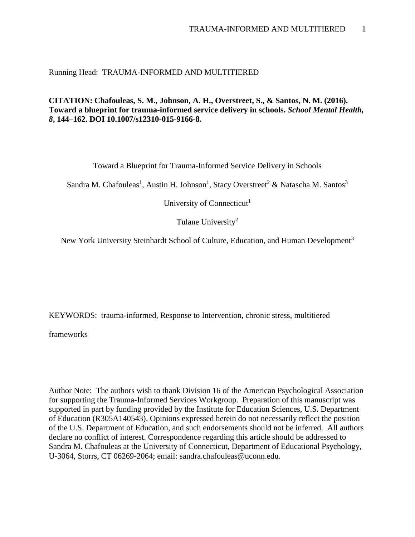Running Head: TRAUMA-INFORMED AND MULTITIERED

**CITATION: Chafouleas, S. M., Johnson, A. H., Overstreet, S., & Santos, N. M. (2016). Toward a blueprint for trauma-informed service delivery in schools.** *School Mental Health, 8***, 144–162. DOI 10.1007/s12310-015-9166-8.**

Toward a Blueprint for Trauma-Informed Service Delivery in Schools

Sandra M. Chafouleas<sup>1</sup>, Austin H. Johnson<sup>1</sup>, Stacy Overstreet<sup>2</sup> & Natascha M. Santos<sup>3</sup>

University of Connecticut<sup>1</sup>

Tulane University<sup>2</sup>

New York University Steinhardt School of Culture, Education, and Human Development<sup>3</sup>

KEYWORDS: trauma-informed, Response to Intervention, chronic stress, multitiered

frameworks

Author Note: The authors wish to thank Division 16 of the American Psychological Association for supporting the Trauma-Informed Services Workgroup. Preparation of this manuscript was supported in part by funding provided by the Institute for Education Sciences, U.S. Department of Education (R305A140543). Opinions expressed herein do not necessarily reflect the position of the U.S. Department of Education, and such endorsements should not be inferred. All authors declare no conflict of interest. Correspondence regarding this article should be addressed to Sandra M. Chafouleas at the University of Connecticut, Department of Educational Psychology, U-3064, Storrs, CT 06269-2064; email: sandra.chafouleas@uconn.edu.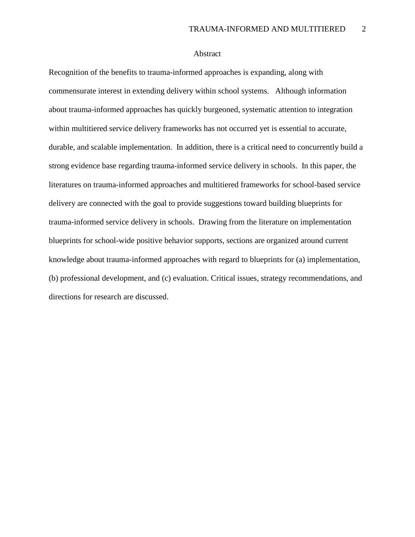# Abstract

Recognition of the benefits to trauma-informed approaches is expanding, along with commensurate interest in extending delivery within school systems. Although information about trauma-informed approaches has quickly burgeoned, systematic attention to integration within multitiered service delivery frameworks has not occurred yet is essential to accurate, durable, and scalable implementation. In addition, there is a critical need to concurrently build a strong evidence base regarding trauma-informed service delivery in schools. In this paper, the literatures on trauma-informed approaches and multitiered frameworks for school-based service delivery are connected with the goal to provide suggestions toward building blueprints for trauma-informed service delivery in schools. Drawing from the literature on implementation blueprints for school-wide positive behavior supports, sections are organized around current knowledge about trauma-informed approaches with regard to blueprints for (a) implementation, (b) professional development, and (c) evaluation. Critical issues, strategy recommendations, and directions for research are discussed.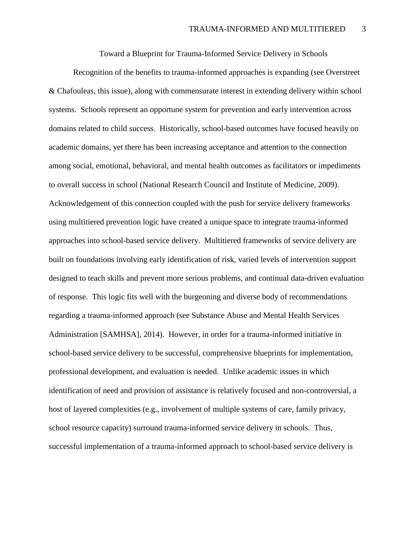Toward a Blueprint for Trauma-Informed Service Delivery in Schools

Recognition of the benefits to trauma-informed approaches is expanding (see Overstreet & Chafouleas, this issue), along with commensurate interest in extending delivery within school systems. Schools represent an opportune system for prevention and early intervention across domains related to child success. Historically, school-based outcomes have focused heavily on academic domains, yet there has been increasing acceptance and attention to the connection among social, emotional, behavioral, and mental health outcomes as facilitators or impediments to overall success in school (National Research Council and Institute of Medicine, 2009). Acknowledgement of this connection coupled with the push for service delivery frameworks using multitiered prevention logic have created a unique space to integrate trauma-informed approaches into school-based service delivery. Multitiered frameworks of service delivery are built on foundations involving early identification of risk, varied levels of intervention support designed to teach skills and prevent more serious problems, and continual data-driven evaluation of response. This logic fits well with the burgeoning and diverse body of recommendations regarding a trauma-informed approach (see Substance Abuse and Mental Health Services Administration [SAMHSA], 2014). However, in order for a trauma-informed initiative in school-based service delivery to be successful, comprehensive blueprints for implementation, professional development, and evaluation is needed. Unlike academic issues in which identification of need and provision of assistance is relatively focused and non-controversial, a host of layered complexities (e.g., involvement of multiple systems of care, family privacy, school resource capacity) surround trauma-informed service delivery in schools. Thus, successful implementation of a trauma-informed approach to school-based service delivery is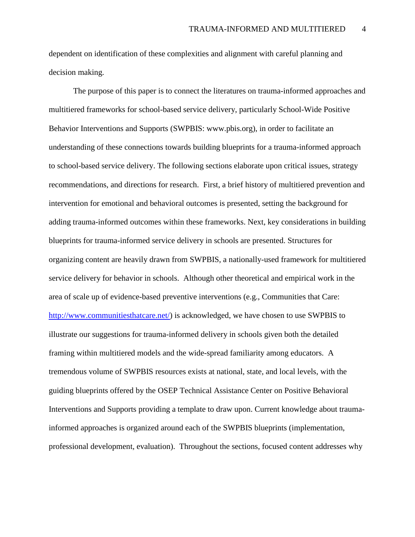dependent on identification of these complexities and alignment with careful planning and decision making.

The purpose of this paper is to connect the literatures on trauma-informed approaches and multitiered frameworks for school-based service delivery, particularly School-Wide Positive Behavior Interventions and Supports (SWPBIS: www.pbis.org), in order to facilitate an understanding of these connections towards building blueprints for a trauma-informed approach to school-based service delivery. The following sections elaborate upon critical issues, strategy recommendations, and directions for research. First, a brief history of multitiered prevention and intervention for emotional and behavioral outcomes is presented, setting the background for adding trauma-informed outcomes within these frameworks. Next, key considerations in building blueprints for trauma-informed service delivery in schools are presented. Structures for organizing content are heavily drawn from SWPBIS, a nationally-used framework for multitiered service delivery for behavior in schools. Although other theoretical and empirical work in the area of scale up of evidence-based preventive interventions (e.g., Communities that Care: [http://www.communitiesthatcare.net/\)](http://www.communitiesthatcare.net/) is acknowledged, we have chosen to use SWPBIS to illustrate our suggestions for trauma-informed delivery in schools given both the detailed framing within multitiered models and the wide-spread familiarity among educators. A tremendous volume of SWPBIS resources exists at national, state, and local levels, with the guiding blueprints offered by the OSEP Technical Assistance Center on Positive Behavioral Interventions and Supports providing a template to draw upon. Current knowledge about traumainformed approaches is organized around each of the SWPBIS blueprints (implementation, professional development, evaluation). Throughout the sections, focused content addresses why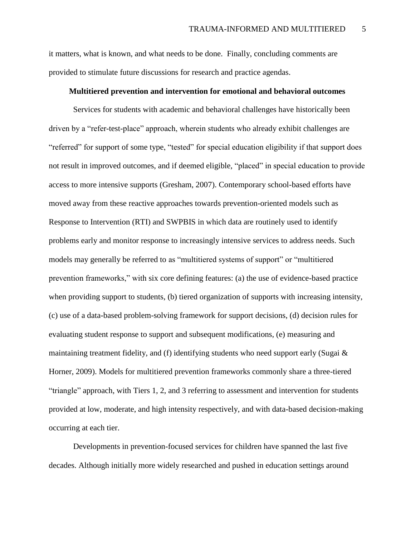it matters, what is known, and what needs to be done. Finally, concluding comments are provided to stimulate future discussions for research and practice agendas.

## **Multitiered prevention and intervention for emotional and behavioral outcomes**

Services for students with academic and behavioral challenges have historically been driven by a "refer-test-place" approach, wherein students who already exhibit challenges are "referred" for support of some type, "tested" for special education eligibility if that support does not result in improved outcomes, and if deemed eligible, "placed" in special education to provide access to more intensive supports (Gresham, 2007). Contemporary school-based efforts have moved away from these reactive approaches towards prevention-oriented models such as Response to Intervention (RTI) and SWPBIS in which data are routinely used to identify problems early and monitor response to increasingly intensive services to address needs. Such models may generally be referred to as "multitiered systems of support" or "multitiered prevention frameworks," with six core defining features: (a) the use of evidence-based practice when providing support to students, (b) tiered organization of supports with increasing intensity, (c) use of a data-based problem-solving framework for support decisions, (d) decision rules for evaluating student response to support and subsequent modifications, (e) measuring and maintaining treatment fidelity, and (f) identifying students who need support early (Sugai  $\&$ Horner, 2009). Models for multitiered prevention frameworks commonly share a three-tiered "triangle" approach, with Tiers 1, 2, and 3 referring to assessment and intervention for students provided at low, moderate, and high intensity respectively, and with data-based decision-making occurring at each tier.

Developments in prevention-focused services for children have spanned the last five decades. Although initially more widely researched and pushed in education settings around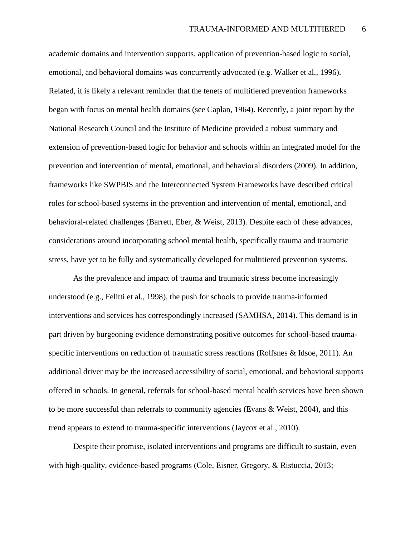academic domains and intervention supports, application of prevention-based logic to social, emotional, and behavioral domains was concurrently advocated (e.g. Walker et al., 1996). Related, it is likely a relevant reminder that the tenets of multitiered prevention frameworks began with focus on mental health domains (see Caplan, 1964). Recently, a joint report by the National Research Council and the Institute of Medicine provided a robust summary and extension of prevention-based logic for behavior and schools within an integrated model for the prevention and intervention of mental, emotional, and behavioral disorders (2009). In addition, frameworks like SWPBIS and the Interconnected System Frameworks have described critical roles for school-based systems in the prevention and intervention of mental, emotional, and behavioral-related challenges (Barrett, Eber, & Weist, 2013). Despite each of these advances, considerations around incorporating school mental health, specifically trauma and traumatic stress, have yet to be fully and systematically developed for multitiered prevention systems.

As the prevalence and impact of trauma and traumatic stress become increasingly understood (e.g., Felitti et al., 1998), the push for schools to provide trauma-informed interventions and services has correspondingly increased (SAMHSA, 2014). This demand is in part driven by burgeoning evidence demonstrating positive outcomes for school-based traumaspecific interventions on reduction of traumatic stress reactions (Rolfsnes & Idsoe, 2011). An additional driver may be the increased accessibility of social, emotional, and behavioral supports offered in schools. In general, referrals for school-based mental health services have been shown to be more successful than referrals to community agencies (Evans & Weist, 2004), and this trend appears to extend to trauma-specific interventions (Jaycox et al., 2010).

Despite their promise, isolated interventions and programs are difficult to sustain, even with high-quality, evidence-based programs (Cole, Eisner, Gregory, & Ristuccia, 2013;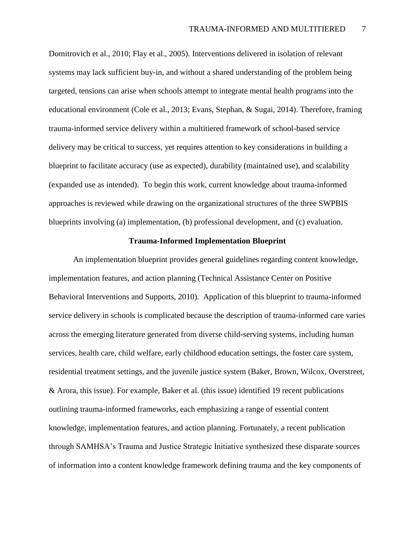Domitrovich et al., 2010; Flay et al., 2005). Interventions delivered in isolation of relevant systems may lack sufficient buy-in, and without a shared understanding of the problem being targeted, tensions can arise when schools attempt to integrate mental health programs into the educational environment (Cole et al., 2013; Evans, Stephan, & Sugai, 2014). Therefore, framing trauma-informed service delivery within a multitiered framework of school-based service delivery may be critical to success, yet requires attention to key considerations in building a blueprint to facilitate accuracy (use as expected), durability (maintained use), and scalability (expanded use as intended). To begin this work, current knowledge about trauma-informed approaches is reviewed while drawing on the organizational structures of the three SWPBIS blueprints involving (a) implementation, (b) professional development, and (c) evaluation.

# **Trauma-Informed Implementation Blueprint**

An implementation blueprint provides general guidelines regarding content knowledge, implementation features, and action planning (Technical Assistance Center on Positive Behavioral Interventions and Supports, 2010). Application of this blueprint to trauma-informed service delivery in schools is complicated because the description of trauma-informed care varies across the emerging literature generated from diverse child-serving systems, including human services, health care, child welfare, early childhood education settings, the foster care system, residential treatment settings, and the juvenile justice system (Baker, Brown, Wilcox, Overstreet, & Arora, this issue). For example, Baker et al. (this issue) identified 19 recent publications outlining trauma-informed frameworks, each emphasizing a range of essential content knowledge, implementation features, and action planning. Fortunately, a recent publication through SAMHSA's Trauma and Justice Strategic Initiative synthesized these disparate sources of information into a content knowledge framework defining trauma and the key components of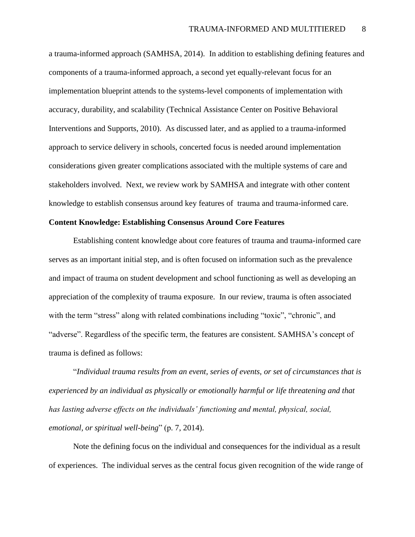a trauma-informed approach (SAMHSA, 2014). In addition to establishing defining features and components of a trauma-informed approach, a second yet equally-relevant focus for an implementation blueprint attends to the systems-level components of implementation with accuracy, durability, and scalability (Technical Assistance Center on Positive Behavioral Interventions and Supports, 2010). As discussed later, and as applied to a trauma-informed approach to service delivery in schools, concerted focus is needed around implementation considerations given greater complications associated with the multiple systems of care and stakeholders involved. Next, we review work by SAMHSA and integrate with other content knowledge to establish consensus around key features of trauma and trauma-informed care.

# **Content Knowledge: Establishing Consensus Around Core Features**

Establishing content knowledge about core features of trauma and trauma-informed care serves as an important initial step, and is often focused on information such as the prevalence and impact of trauma on student development and school functioning as well as developing an appreciation of the complexity of trauma exposure. In our review, trauma is often associated with the term "stress" along with related combinations including "toxic", "chronic", and "adverse". Regardless of the specific term, the features are consistent. SAMHSA's concept of trauma is defined as follows:

"*Individual trauma results from an event, series of events, or set of circumstances that is experienced by an individual as physically or emotionally harmful or life threatening and that has lasting adverse effects on the individuals' functioning and mental, physical, social, emotional, or spiritual well-being*" (p. 7, 2014).

Note the defining focus on the individual and consequences for the individual as a result of experiences. The individual serves as the central focus given recognition of the wide range of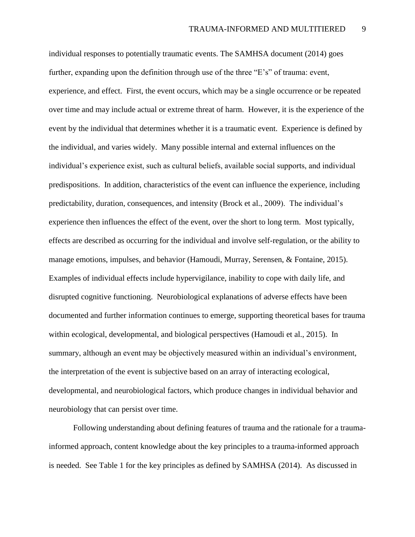individual responses to potentially traumatic events. The SAMHSA document (2014) goes further, expanding upon the definition through use of the three "E's" of trauma: event, experience, and effect. First, the event occurs, which may be a single occurrence or be repeated over time and may include actual or extreme threat of harm. However, it is the experience of the event by the individual that determines whether it is a traumatic event. Experience is defined by the individual, and varies widely. Many possible internal and external influences on the individual's experience exist, such as cultural beliefs, available social supports, and individual predispositions. In addition, characteristics of the event can influence the experience, including predictability, duration, consequences, and intensity (Brock et al., 2009). The individual's experience then influences the effect of the event, over the short to long term. Most typically, effects are described as occurring for the individual and involve self-regulation, or the ability to manage emotions, impulses, and behavior (Hamoudi, Murray, Serensen, & Fontaine, 2015). Examples of individual effects include hypervigilance, inability to cope with daily life, and disrupted cognitive functioning. Neurobiological explanations of adverse effects have been documented and further information continues to emerge, supporting theoretical bases for trauma within ecological, developmental, and biological perspectives (Hamoudi et al., 2015). In summary, although an event may be objectively measured within an individual's environment, the interpretation of the event is subjective based on an array of interacting ecological, developmental, and neurobiological factors, which produce changes in individual behavior and neurobiology that can persist over time.

Following understanding about defining features of trauma and the rationale for a traumainformed approach, content knowledge about the key principles to a trauma-informed approach is needed. See Table 1 for the key principles as defined by SAMHSA (2014). As discussed in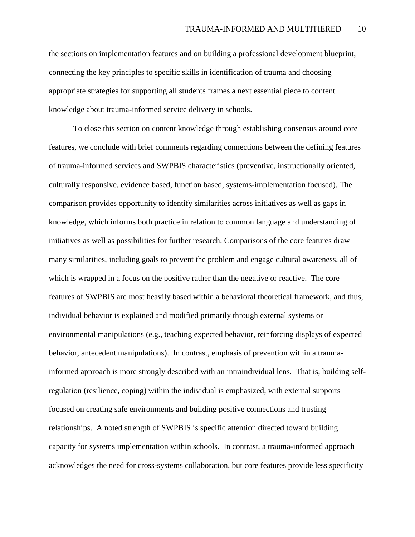the sections on implementation features and on building a professional development blueprint, connecting the key principles to specific skills in identification of trauma and choosing appropriate strategies for supporting all students frames a next essential piece to content knowledge about trauma-informed service delivery in schools.

To close this section on content knowledge through establishing consensus around core features, we conclude with brief comments regarding connections between the defining features of trauma-informed services and SWPBIS characteristics (preventive, instructionally oriented, culturally responsive, evidence based, function based, systems-implementation focused). The comparison provides opportunity to identify similarities across initiatives as well as gaps in knowledge, which informs both practice in relation to common language and understanding of initiatives as well as possibilities for further research. Comparisons of the core features draw many similarities, including goals to prevent the problem and engage cultural awareness, all of which is wrapped in a focus on the positive rather than the negative or reactive. The core features of SWPBIS are most heavily based within a behavioral theoretical framework, and thus, individual behavior is explained and modified primarily through external systems or environmental manipulations (e.g., teaching expected behavior, reinforcing displays of expected behavior, antecedent manipulations). In contrast, emphasis of prevention within a traumainformed approach is more strongly described with an intraindividual lens. That is, building selfregulation (resilience, coping) within the individual is emphasized, with external supports focused on creating safe environments and building positive connections and trusting relationships. A noted strength of SWPBIS is specific attention directed toward building capacity for systems implementation within schools. In contrast, a trauma-informed approach acknowledges the need for cross-systems collaboration, but core features provide less specificity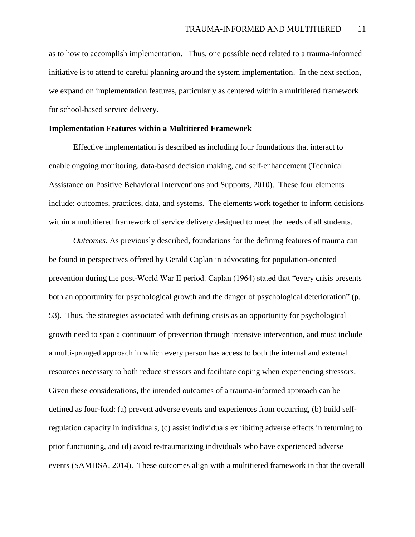as to how to accomplish implementation. Thus, one possible need related to a trauma-informed initiative is to attend to careful planning around the system implementation. In the next section, we expand on implementation features, particularly as centered within a multitiered framework for school-based service delivery.

# **Implementation Features within a Multitiered Framework**

Effective implementation is described as including four foundations that interact to enable ongoing monitoring, data-based decision making, and self-enhancement (Technical Assistance on Positive Behavioral Interventions and Supports, 2010). These four elements include: outcomes, practices, data, and systems. The elements work together to inform decisions within a multitiered framework of service delivery designed to meet the needs of all students.

*Outcomes*. As previously described, foundations for the defining features of trauma can be found in perspectives offered by Gerald Caplan in advocating for population-oriented prevention during the post-World War II period. Caplan (1964) stated that "every crisis presents both an opportunity for psychological growth and the danger of psychological deterioration" (p. 53). Thus, the strategies associated with defining crisis as an opportunity for psychological growth need to span a continuum of prevention through intensive intervention, and must include a multi-pronged approach in which every person has access to both the internal and external resources necessary to both reduce stressors and facilitate coping when experiencing stressors. Given these considerations, the intended outcomes of a trauma-informed approach can be defined as four-fold: (a) prevent adverse events and experiences from occurring, (b) build selfregulation capacity in individuals, (c) assist individuals exhibiting adverse effects in returning to prior functioning, and (d) avoid re-traumatizing individuals who have experienced adverse events (SAMHSA, 2014). These outcomes align with a multitiered framework in that the overall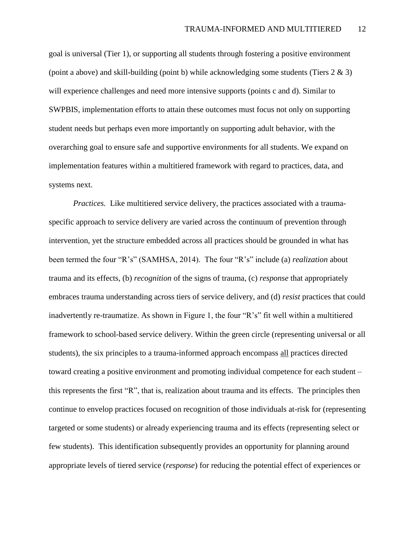goal is universal (Tier 1), or supporting all students through fostering a positive environment (point a above) and skill-building (point b) while acknowledging some students (Tiers 2 & 3) will experience challenges and need more intensive supports (points c and d). Similar to SWPBIS, implementation efforts to attain these outcomes must focus not only on supporting student needs but perhaps even more importantly on supporting adult behavior, with the overarching goal to ensure safe and supportive environments for all students. We expand on implementation features within a multitiered framework with regard to practices, data, and systems next.

*Practices.* Like multitiered service delivery, the practices associated with a traumaspecific approach to service delivery are varied across the continuum of prevention through intervention, yet the structure embedded across all practices should be grounded in what has been termed the four "R's" (SAMHSA, 2014). The four "R's" include (a) *realization* about trauma and its effects, (b) *recognition* of the signs of trauma, (c) *response* that appropriately embraces trauma understanding across tiers of service delivery, and (d) *resist* practices that could inadvertently re-traumatize. As shown in Figure 1, the four "R's" fit well within a multitiered framework to school-based service delivery. Within the green circle (representing universal or all students), the six principles to a trauma-informed approach encompass all practices directed toward creating a positive environment and promoting individual competence for each student – this represents the first "R", that is, realization about trauma and its effects. The principles then continue to envelop practices focused on recognition of those individuals at-risk for (representing targeted or some students) or already experiencing trauma and its effects (representing select or few students). This identification subsequently provides an opportunity for planning around appropriate levels of tiered service (*response*) for reducing the potential effect of experiences or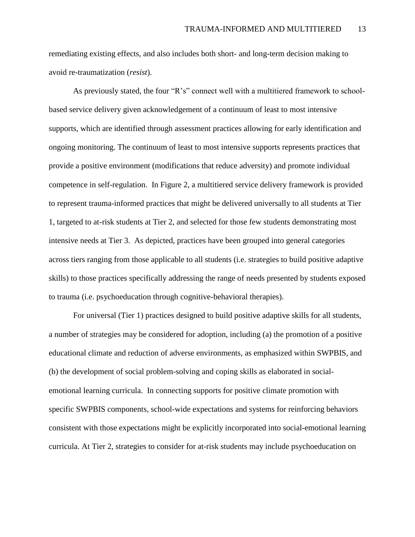remediating existing effects, and also includes both short- and long-term decision making to avoid re-traumatization (*resist*).

As previously stated, the four "R's" connect well with a multitiered framework to schoolbased service delivery given acknowledgement of a continuum of least to most intensive supports, which are identified through assessment practices allowing for early identification and ongoing monitoring. The continuum of least to most intensive supports represents practices that provide a positive environment (modifications that reduce adversity) and promote individual competence in self-regulation. In Figure 2, a multitiered service delivery framework is provided to represent trauma-informed practices that might be delivered universally to all students at Tier 1, targeted to at-risk students at Tier 2, and selected for those few students demonstrating most intensive needs at Tier 3. As depicted, practices have been grouped into general categories across tiers ranging from those applicable to all students (i.e. strategies to build positive adaptive skills) to those practices specifically addressing the range of needs presented by students exposed to trauma (i.e. psychoeducation through cognitive-behavioral therapies).

For universal (Tier 1) practices designed to build positive adaptive skills for all students, a number of strategies may be considered for adoption, including (a) the promotion of a positive educational climate and reduction of adverse environments, as emphasized within SWPBIS, and (b) the development of social problem-solving and coping skills as elaborated in socialemotional learning curricula. In connecting supports for positive climate promotion with specific SWPBIS components, school-wide expectations and systems for reinforcing behaviors consistent with those expectations might be explicitly incorporated into social-emotional learning curricula. At Tier 2, strategies to consider for at-risk students may include psychoeducation on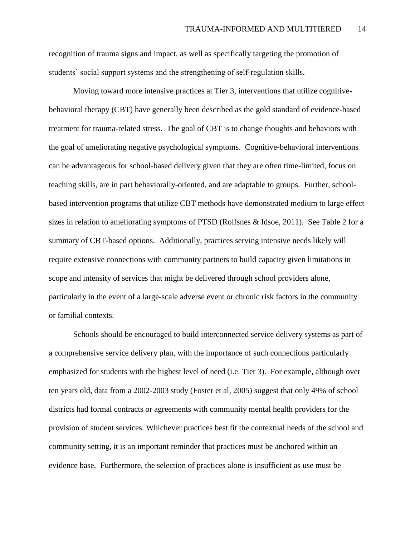recognition of trauma signs and impact, as well as specifically targeting the promotion of students' social support systems and the strengthening of self-regulation skills.

Moving toward more intensive practices at Tier 3, interventions that utilize cognitivebehavioral therapy (CBT) have generally been described as the gold standard of evidence-based treatment for trauma-related stress. The goal of CBT is to change thoughts and behaviors with the goal of ameliorating negative psychological symptoms. Cognitive-behavioral interventions can be advantageous for school-based delivery given that they are often time-limited, focus on teaching skills, are in part behaviorally-oriented, and are adaptable to groups. Further, schoolbased intervention programs that utilize CBT methods have demonstrated medium to large effect sizes in relation to ameliorating symptoms of PTSD (Rolfsnes & Idsoe, 2011). See Table 2 for a summary of CBT-based options. Additionally, practices serving intensive needs likely will require extensive connections with community partners to build capacity given limitations in scope and intensity of services that might be delivered through school providers alone, particularly in the event of a large-scale adverse event or chronic risk factors in the community or familial contexts.

Schools should be encouraged to build interconnected service delivery systems as part of a comprehensive service delivery plan, with the importance of such connections particularly emphasized for students with the highest level of need (i.e. Tier 3). For example, although over ten years old, data from a 2002-2003 study (Foster et al, 2005) suggest that only 49% of school districts had formal contracts or agreements with community mental health providers for the provision of student services. Whichever practices best fit the contextual needs of the school and community setting, it is an important reminder that practices must be anchored within an evidence base. Furthermore, the selection of practices alone is insufficient as use must be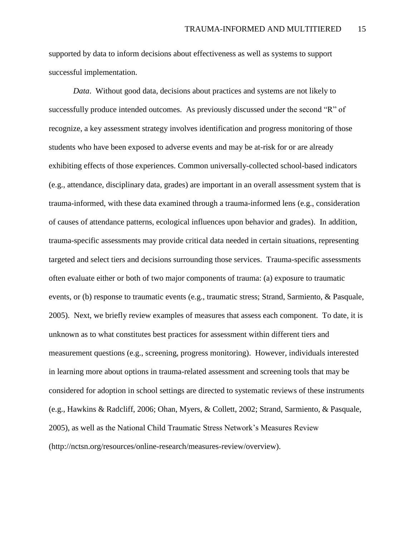supported by data to inform decisions about effectiveness as well as systems to support successful implementation.

*Data*. Without good data, decisions about practices and systems are not likely to successfully produce intended outcomes. As previously discussed under the second "R" of recognize, a key assessment strategy involves identification and progress monitoring of those students who have been exposed to adverse events and may be at-risk for or are already exhibiting effects of those experiences. Common universally-collected school-based indicators (e.g., attendance, disciplinary data, grades) are important in an overall assessment system that is trauma-informed, with these data examined through a trauma-informed lens (e.g., consideration of causes of attendance patterns, ecological influences upon behavior and grades). In addition, trauma-specific assessments may provide critical data needed in certain situations, representing targeted and select tiers and decisions surrounding those services. Trauma-specific assessments often evaluate either or both of two major components of trauma: (a) exposure to traumatic events, or (b) response to traumatic events (e.g., traumatic stress; Strand, Sarmiento, & Pasquale, 2005). Next, we briefly review examples of measures that assess each component. To date, it is unknown as to what constitutes best practices for assessment within different tiers and measurement questions (e.g., screening, progress monitoring). However, individuals interested in learning more about options in trauma-related assessment and screening tools that may be considered for adoption in school settings are directed to systematic reviews of these instruments (e.g., Hawkins & Radcliff, 2006; Ohan, Myers, & Collett, 2002; Strand, Sarmiento, & Pasquale, 2005), as well as the National Child Traumatic Stress Network's Measures Review (http://nctsn.org/resources/online-research/measures-review/overview).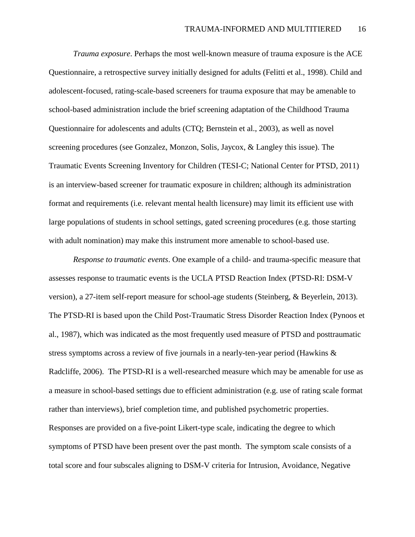*Trauma exposure*. Perhaps the most well-known measure of trauma exposure is the ACE Questionnaire, a retrospective survey initially designed for adults (Felitti et al., 1998). Child and adolescent-focused, rating-scale-based screeners for trauma exposure that may be amenable to school-based administration include the brief screening adaptation of the Childhood Trauma Questionnaire for adolescents and adults (CTQ; Bernstein et al., 2003), as well as novel screening procedures (see Gonzalez, Monzon, Solis, Jaycox, & Langley this issue). The Traumatic Events Screening Inventory for Children (TESI-C; National Center for PTSD, 2011) is an interview-based screener for traumatic exposure in children; although its administration format and requirements (i.e. relevant mental health licensure) may limit its efficient use with large populations of students in school settings, gated screening procedures (e.g. those starting with adult nomination) may make this instrument more amenable to school-based use.

*Response to traumatic events*. One example of a child- and trauma-specific measure that assesses response to traumatic events is the UCLA PTSD Reaction Index (PTSD-RI: DSM-V version), a 27-item self-report measure for school-age students (Steinberg, & Beyerlein, 2013). The PTSD-RI is based upon the Child Post-Traumatic Stress Disorder Reaction Index (Pynoos et al., 1987), which was indicated as the most frequently used measure of PTSD and posttraumatic stress symptoms across a review of five journals in a nearly-ten-year period (Hawkins & Radcliffe, 2006). The PTSD-RI is a well-researched measure which may be amenable for use as a measure in school-based settings due to efficient administration (e.g. use of rating scale format rather than interviews), brief completion time, and published psychometric properties. Responses are provided on a five-point Likert-type scale, indicating the degree to which symptoms of PTSD have been present over the past month. The symptom scale consists of a total score and four subscales aligning to DSM-V criteria for Intrusion, Avoidance, Negative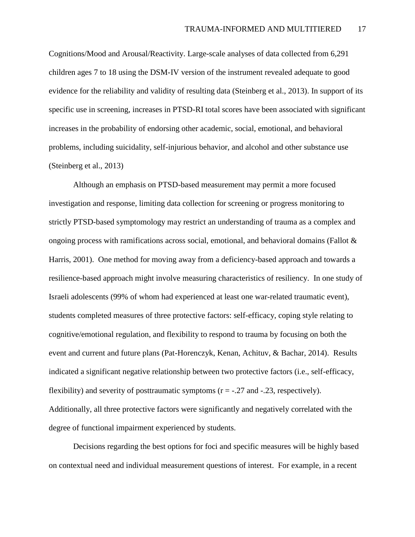Cognitions/Mood and Arousal/Reactivity. Large-scale analyses of data collected from 6,291 children ages 7 to 18 using the DSM-IV version of the instrument revealed adequate to good evidence for the reliability and validity of resulting data (Steinberg et al., 2013). In support of its specific use in screening, increases in PTSD-RI total scores have been associated with significant increases in the probability of endorsing other academic, social, emotional, and behavioral problems, including suicidality, self-injurious behavior, and alcohol and other substance use (Steinberg et al., 2013)

Although an emphasis on PTSD-based measurement may permit a more focused investigation and response, limiting data collection for screening or progress monitoring to strictly PTSD-based symptomology may restrict an understanding of trauma as a complex and ongoing process with ramifications across social, emotional, and behavioral domains (Fallot  $\&$ Harris, 2001). One method for moving away from a deficiency-based approach and towards a resilience-based approach might involve measuring characteristics of resiliency. In one study of Israeli adolescents (99% of whom had experienced at least one war-related traumatic event), students completed measures of three protective factors: self-efficacy, coping style relating to cognitive/emotional regulation, and flexibility to respond to trauma by focusing on both the event and current and future plans (Pat-Horenczyk, Kenan, Achituv, & Bachar, 2014). Results indicated a significant negative relationship between two protective factors (i.e., self-efficacy, flexibility) and severity of posttraumatic symptoms  $(r = -.27$  and  $-.23$ , respectively). Additionally, all three protective factors were significantly and negatively correlated with the degree of functional impairment experienced by students.

Decisions regarding the best options for foci and specific measures will be highly based on contextual need and individual measurement questions of interest. For example, in a recent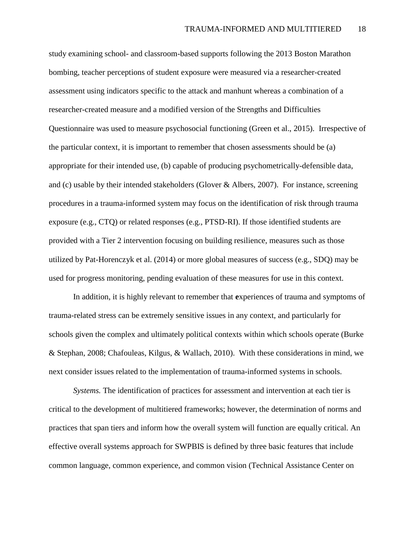study examining school- and classroom-based supports following the 2013 Boston Marathon bombing, teacher perceptions of student exposure were measured via a researcher-created assessment using indicators specific to the attack and manhunt whereas a combination of a researcher-created measure and a modified version of the Strengths and Difficulties Questionnaire was used to measure psychosocial functioning (Green et al., 2015). Irrespective of the particular context, it is important to remember that chosen assessments should be (a) appropriate for their intended use, (b) capable of producing psychometrically-defensible data, and (c) usable by their intended stakeholders (Glover & Albers, 2007). For instance, screening procedures in a trauma-informed system may focus on the identification of risk through trauma exposure (e.g., CTQ) or related responses (e.g., PTSD-RI). If those identified students are provided with a Tier 2 intervention focusing on building resilience, measures such as those utilized by Pat-Horenczyk et al. (2014) or more global measures of success (e.g., SDQ) may be used for progress monitoring, pending evaluation of these measures for use in this context.

In addition, it is highly relevant to remember that **e**xperiences of trauma and symptoms of trauma-related stress can be extremely sensitive issues in any context, and particularly for schools given the complex and ultimately political contexts within which schools operate (Burke & Stephan, 2008; Chafouleas, Kilgus, & Wallach, 2010). With these considerations in mind, we next consider issues related to the implementation of trauma-informed systems in schools.

*Systems.* The identification of practices for assessment and intervention at each tier is critical to the development of multitiered frameworks; however, the determination of norms and practices that span tiers and inform how the overall system will function are equally critical. An effective overall systems approach for SWPBIS is defined by three basic features that include common language, common experience, and common vision (Technical Assistance Center on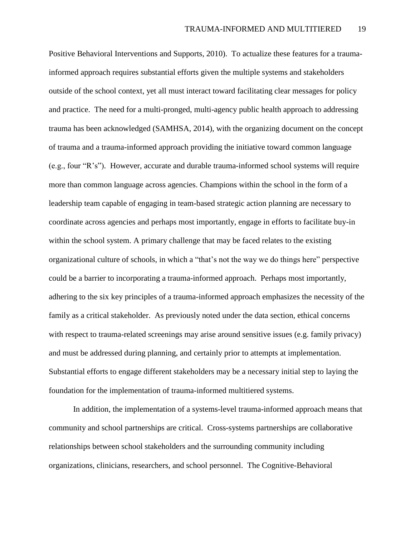Positive Behavioral Interventions and Supports, 2010). To actualize these features for a traumainformed approach requires substantial efforts given the multiple systems and stakeholders outside of the school context, yet all must interact toward facilitating clear messages for policy and practice. The need for a multi-pronged, multi-agency public health approach to addressing trauma has been acknowledged (SAMHSA, 2014), with the organizing document on the concept of trauma and a trauma-informed approach providing the initiative toward common language (e.g., four "R's"). However, accurate and durable trauma-informed school systems will require more than common language across agencies. Champions within the school in the form of a leadership team capable of engaging in team-based strategic action planning are necessary to coordinate across agencies and perhaps most importantly, engage in efforts to facilitate buy-in within the school system. A primary challenge that may be faced relates to the existing organizational culture of schools, in which a "that's not the way we do things here" perspective could be a barrier to incorporating a trauma-informed approach. Perhaps most importantly, adhering to the six key principles of a trauma-informed approach emphasizes the necessity of the family as a critical stakeholder. As previously noted under the data section, ethical concerns with respect to trauma-related screenings may arise around sensitive issues (e.g. family privacy) and must be addressed during planning, and certainly prior to attempts at implementation. Substantial efforts to engage different stakeholders may be a necessary initial step to laying the foundation for the implementation of trauma-informed multitiered systems.

In addition, the implementation of a systems-level trauma-informed approach means that community and school partnerships are critical. Cross-systems partnerships are collaborative relationships between school stakeholders and the surrounding community including organizations, clinicians, researchers, and school personnel. The Cognitive-Behavioral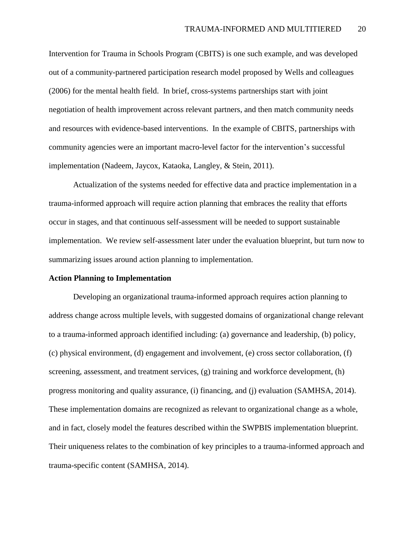Intervention for Trauma in Schools Program (CBITS) is one such example, and was developed out of a community-partnered participation research model proposed by Wells and colleagues (2006) for the mental health field. In brief, cross-systems partnerships start with joint negotiation of health improvement across relevant partners, and then match community needs and resources with evidence-based interventions. In the example of CBITS, partnerships with community agencies were an important macro-level factor for the intervention's successful implementation (Nadeem, Jaycox, Kataoka, Langley, & Stein, 2011).

Actualization of the systems needed for effective data and practice implementation in a trauma-informed approach will require action planning that embraces the reality that efforts occur in stages, and that continuous self-assessment will be needed to support sustainable implementation. We review self-assessment later under the evaluation blueprint, but turn now to summarizing issues around action planning to implementation.

# **Action Planning to Implementation**

Developing an organizational trauma-informed approach requires action planning to address change across multiple levels, with suggested domains of organizational change relevant to a trauma-informed approach identified including: (a) governance and leadership, (b) policy, (c) physical environment, (d) engagement and involvement, (e) cross sector collaboration, (f) screening, assessment, and treatment services, (g) training and workforce development, (h) progress monitoring and quality assurance, (i) financing, and (j) evaluation (SAMHSA, 2014). These implementation domains are recognized as relevant to organizational change as a whole, and in fact, closely model the features described within the SWPBIS implementation blueprint. Their uniqueness relates to the combination of key principles to a trauma-informed approach and trauma-specific content (SAMHSA, 2014).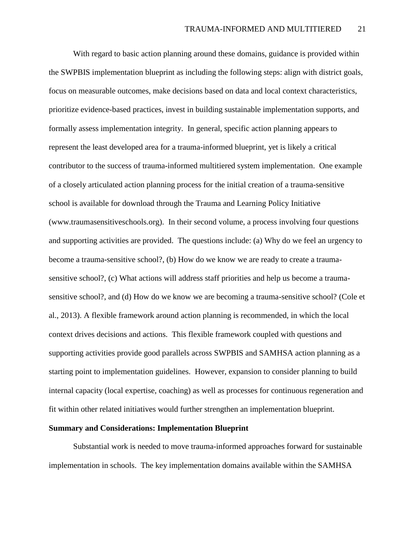With regard to basic action planning around these domains, guidance is provided within the SWPBIS implementation blueprint as including the following steps: align with district goals, focus on measurable outcomes, make decisions based on data and local context characteristics, prioritize evidence-based practices, invest in building sustainable implementation supports, and formally assess implementation integrity. In general, specific action planning appears to represent the least developed area for a trauma-informed blueprint, yet is likely a critical contributor to the success of trauma-informed multitiered system implementation. One example of a closely articulated action planning process for the initial creation of a trauma-sensitive school is available for download through the Trauma and Learning Policy Initiative (www.traumasensitiveschools.org). In their second volume, a process involving four questions and supporting activities are provided. The questions include: (a) Why do we feel an urgency to become a trauma-sensitive school?, (b) How do we know we are ready to create a traumasensitive school?, (c) What actions will address staff priorities and help us become a traumasensitive school?, and (d) How do we know we are becoming a trauma-sensitive school? (Cole et al., 2013). A flexible framework around action planning is recommended, in which the local context drives decisions and actions. This flexible framework coupled with questions and supporting activities provide good parallels across SWPBIS and SAMHSA action planning as a starting point to implementation guidelines. However, expansion to consider planning to build internal capacity (local expertise, coaching) as well as processes for continuous regeneration and fit within other related initiatives would further strengthen an implementation blueprint.

#### **Summary and Considerations: Implementation Blueprint**

Substantial work is needed to move trauma-informed approaches forward for sustainable implementation in schools. The key implementation domains available within the SAMHSA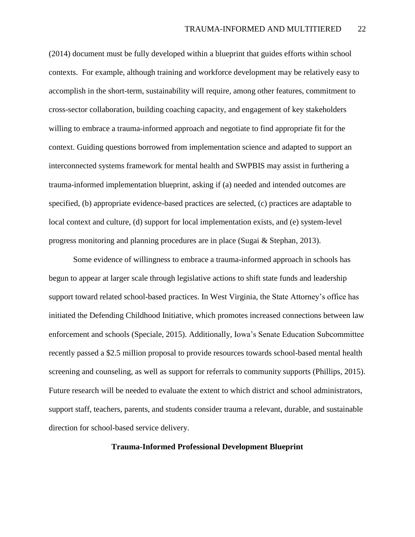(2014) document must be fully developed within a blueprint that guides efforts within school contexts. For example, although training and workforce development may be relatively easy to accomplish in the short-term, sustainability will require, among other features, commitment to cross-sector collaboration, building coaching capacity, and engagement of key stakeholders willing to embrace a trauma-informed approach and negotiate to find appropriate fit for the context. Guiding questions borrowed from implementation science and adapted to support an interconnected systems framework for mental health and SWPBIS may assist in furthering a trauma-informed implementation blueprint, asking if (a) needed and intended outcomes are specified, (b) appropriate evidence-based practices are selected, (c) practices are adaptable to local context and culture, (d) support for local implementation exists, and (e) system-level progress monitoring and planning procedures are in place (Sugai & Stephan, 2013).

Some evidence of willingness to embrace a trauma-informed approach in schools has begun to appear at larger scale through legislative actions to shift state funds and leadership support toward related school-based practices. In West Virginia, the State Attorney's office has initiated the Defending Childhood Initiative, which promotes increased connections between law enforcement and schools (Speciale, 2015). Additionally, Iowa's Senate Education Subcommittee recently passed a \$2.5 million proposal to provide resources towards school-based mental health screening and counseling, as well as support for referrals to community supports (Phillips, 2015). Future research will be needed to evaluate the extent to which district and school administrators, support staff, teachers, parents, and students consider trauma a relevant, durable, and sustainable direction for school-based service delivery.

# **Trauma-Informed Professional Development Blueprint**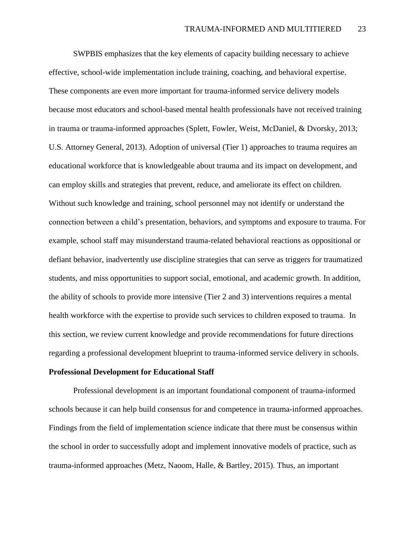SWPBIS emphasizes that the key elements of capacity building necessary to achieve effective, school-wide implementation include training, coaching, and behavioral expertise. These components are even more important for trauma-informed service delivery models because most educators and school-based mental health professionals have not received training in trauma or trauma-informed approaches (Splett, Fowler, Weist, McDaniel, & Dvorsky, 2013; U.S. Attorney General, 2013). Adoption of universal (Tier 1) approaches to trauma requires an educational workforce that is knowledgeable about trauma and its impact on development, and can employ skills and strategies that prevent, reduce, and ameliorate its effect on children. Without such knowledge and training, school personnel may not identify or understand the connection between a child's presentation, behaviors, and symptoms and exposure to trauma. For example, school staff may misunderstand trauma-related behavioral reactions as oppositional or defiant behavior, inadvertently use discipline strategies that can serve as triggers for traumatized students, and miss opportunities to support social, emotional, and academic growth. In addition, the ability of schools to provide more intensive (Tier 2 and 3) interventions requires a mental health workforce with the expertise to provide such services to children exposed to trauma. In this section, we review current knowledge and provide recommendations for future directions regarding a professional development blueprint to trauma-informed service delivery in schools.

# **Professional Development for Educational Staff**

Professional development is an important foundational component of trauma-informed schools because it can help build consensus for and competence in trauma-informed approaches. Findings from the field of implementation science indicate that there must be consensus within the school in order to successfully adopt and implement innovative models of practice, such as trauma-informed approaches (Metz, Naoom, Halle, & Bartley, 2015). Thus, an important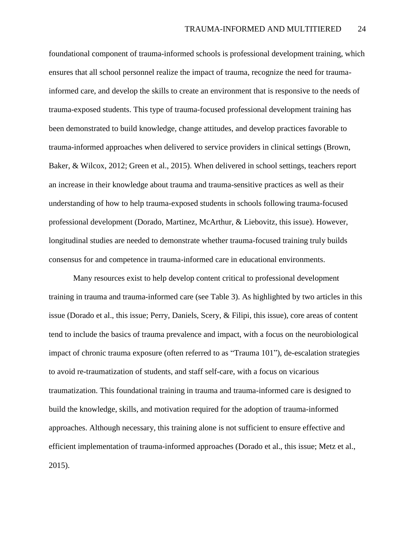foundational component of trauma-informed schools is professional development training, which ensures that all school personnel realize the impact of trauma, recognize the need for traumainformed care, and develop the skills to create an environment that is responsive to the needs of trauma-exposed students. This type of trauma-focused professional development training has been demonstrated to build knowledge, change attitudes, and develop practices favorable to trauma-informed approaches when delivered to service providers in clinical settings (Brown, Baker, & Wilcox, 2012; Green et al., 2015). When delivered in school settings, teachers report an increase in their knowledge about trauma and trauma-sensitive practices as well as their understanding of how to help trauma-exposed students in schools following trauma-focused professional development (Dorado, Martinez, McArthur, & Liebovitz, this issue). However, longitudinal studies are needed to demonstrate whether trauma-focused training truly builds consensus for and competence in trauma-informed care in educational environments.

Many resources exist to help develop content critical to professional development training in trauma and trauma-informed care (see Table 3). As highlighted by two articles in this issue (Dorado et al., this issue; Perry, Daniels, Scery, & Filipi, this issue), core areas of content tend to include the basics of trauma prevalence and impact, with a focus on the neurobiological impact of chronic trauma exposure (often referred to as "Trauma 101"), de-escalation strategies to avoid re-traumatization of students, and staff self-care, with a focus on vicarious traumatization. This foundational training in trauma and trauma-informed care is designed to build the knowledge, skills, and motivation required for the adoption of trauma-informed approaches. Although necessary, this training alone is not sufficient to ensure effective and efficient implementation of trauma-informed approaches (Dorado et al., this issue; Metz et al., 2015).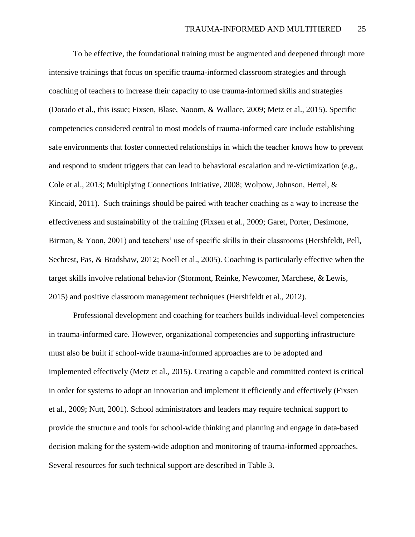To be effective, the foundational training must be augmented and deepened through more intensive trainings that focus on specific trauma-informed classroom strategies and through coaching of teachers to increase their capacity to use trauma-informed skills and strategies (Dorado et al., this issue; Fixsen, Blase, Naoom, & Wallace, 2009; Metz et al., 2015). Specific competencies considered central to most models of trauma-informed care include establishing safe environments that foster connected relationships in which the teacher knows how to prevent and respond to student triggers that can lead to behavioral escalation and re-victimization (e.g., Cole et al., 2013; Multiplying Connections Initiative, 2008; Wolpow, Johnson, Hertel, & Kincaid, 2011). Such trainings should be paired with teacher coaching as a way to increase the effectiveness and sustainability of the training (Fixsen et al., 2009; Garet, Porter, Desimone, Birman, & Yoon, 2001) and teachers' use of specific skills in their classrooms (Hershfeldt, Pell, Sechrest, Pas, & Bradshaw, 2012; Noell et al., 2005). Coaching is particularly effective when the target skills involve relational behavior (Stormont, Reinke, Newcomer, Marchese, & Lewis, 2015) and positive classroom management techniques (Hershfeldt et al., 2012).

Professional development and coaching for teachers builds individual-level competencies in trauma-informed care. However, organizational competencies and supporting infrastructure must also be built if school-wide trauma-informed approaches are to be adopted and implemented effectively (Metz et al., 2015). Creating a capable and committed context is critical in order for systems to adopt an innovation and implement it efficiently and effectively (Fixsen et al., 2009; Nutt, 2001). School administrators and leaders may require technical support to provide the structure and tools for school-wide thinking and planning and engage in data-based decision making for the system-wide adoption and monitoring of trauma-informed approaches. Several resources for such technical support are described in Table 3.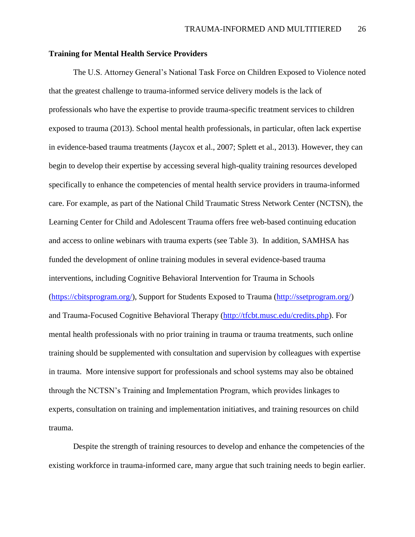# **Training for Mental Health Service Providers**

The U.S. Attorney General's National Task Force on Children Exposed to Violence noted that the greatest challenge to trauma-informed service delivery models is the lack of professionals who have the expertise to provide trauma-specific treatment services to children exposed to trauma (2013). School mental health professionals, in particular, often lack expertise in evidence-based trauma treatments (Jaycox et al., 2007; Splett et al., 2013). However, they can begin to develop their expertise by accessing several high-quality training resources developed specifically to enhance the competencies of mental health service providers in trauma-informed care. For example, as part of the National Child Traumatic Stress Network Center (NCTSN), the Learning Center for Child and Adolescent Trauma offers free web-based continuing education and access to online webinars with trauma experts (see Table 3). In addition, SAMHSA has funded the development of online training modules in several evidence-based trauma interventions, including Cognitive Behavioral Intervention for Trauma in Schools [\(https://cbitsprogram.org/\)](https://cbitsprogram.org/), Support for Students Exposed to Trauma [\(http://ssetprogram.org/\)](http://ssetprogram.org/) and Trauma-Focused Cognitive Behavioral Therapy [\(http://tfcbt.musc.edu/credits.php\)](http://tfcbt.musc.edu/credits.php). For mental health professionals with no prior training in trauma or trauma treatments, such online training should be supplemented with consultation and supervision by colleagues with expertise in trauma. More intensive support for professionals and school systems may also be obtained through the NCTSN's Training and Implementation Program, which provides linkages to experts, consultation on training and implementation initiatives, and training resources on child trauma.

Despite the strength of training resources to develop and enhance the competencies of the existing workforce in trauma-informed care, many argue that such training needs to begin earlier.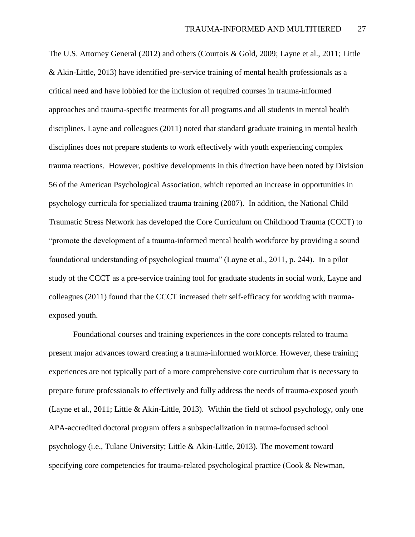The U.S. Attorney General (2012) and others (Courtois & Gold, 2009; Layne et al., 2011; Little & Akin-Little, 2013) have identified pre-service training of mental health professionals as a critical need and have lobbied for the inclusion of required courses in trauma-informed approaches and trauma-specific treatments for all programs and all students in mental health disciplines. Layne and colleagues (2011) noted that standard graduate training in mental health disciplines does not prepare students to work effectively with youth experiencing complex trauma reactions. However, positive developments in this direction have been noted by Division 56 of the American Psychological Association, which reported an increase in opportunities in psychology curricula for specialized trauma training (2007). In addition, the National Child Traumatic Stress Network has developed the Core Curriculum on Childhood Trauma (CCCT) to "promote the development of a trauma-informed mental health workforce by providing a sound foundational understanding of psychological trauma" (Layne et al., 2011, p. 244). In a pilot study of the CCCT as a pre-service training tool for graduate students in social work, Layne and colleagues (2011) found that the CCCT increased their self-efficacy for working with traumaexposed youth.

Foundational courses and training experiences in the core concepts related to trauma present major advances toward creating a trauma-informed workforce. However, these training experiences are not typically part of a more comprehensive core curriculum that is necessary to prepare future professionals to effectively and fully address the needs of trauma-exposed youth (Layne et al., 2011; Little & Akin-Little, 2013). Within the field of school psychology, only one APA-accredited doctoral program offers a subspecialization in trauma-focused school psychology (i.e., Tulane University; Little & Akin-Little, 2013). The movement toward specifying core competencies for trauma-related psychological practice (Cook & Newman,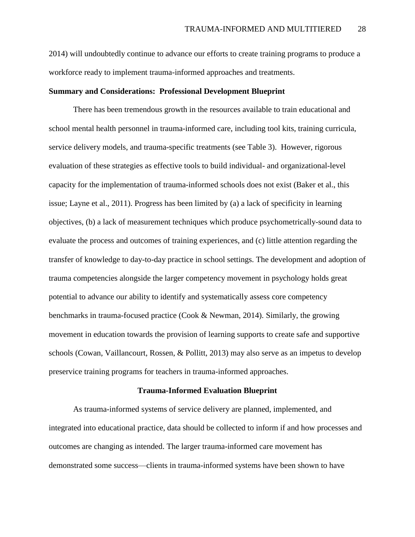2014) will undoubtedly continue to advance our efforts to create training programs to produce a workforce ready to implement trauma-informed approaches and treatments.

#### **Summary and Considerations: Professional Development Blueprint**

There has been tremendous growth in the resources available to train educational and school mental health personnel in trauma-informed care, including tool kits, training curricula, service delivery models, and trauma-specific treatments (see Table 3). However, rigorous evaluation of these strategies as effective tools to build individual- and organizational-level capacity for the implementation of trauma-informed schools does not exist (Baker et al., this issue; Layne et al., 2011). Progress has been limited by (a) a lack of specificity in learning objectives, (b) a lack of measurement techniques which produce psychometrically-sound data to evaluate the process and outcomes of training experiences, and (c) little attention regarding the transfer of knowledge to day-to-day practice in school settings. The development and adoption of trauma competencies alongside the larger competency movement in psychology holds great potential to advance our ability to identify and systematically assess core competency benchmarks in trauma-focused practice (Cook & Newman, 2014). Similarly, the growing movement in education towards the provision of learning supports to create safe and supportive schools (Cowan, Vaillancourt, Rossen, & Pollitt, 2013) may also serve as an impetus to develop preservice training programs for teachers in trauma-informed approaches.

#### **Trauma-Informed Evaluation Blueprint**

As trauma-informed systems of service delivery are planned, implemented, and integrated into educational practice, data should be collected to inform if and how processes and outcomes are changing as intended. The larger trauma-informed care movement has demonstrated some success—clients in trauma-informed systems have been shown to have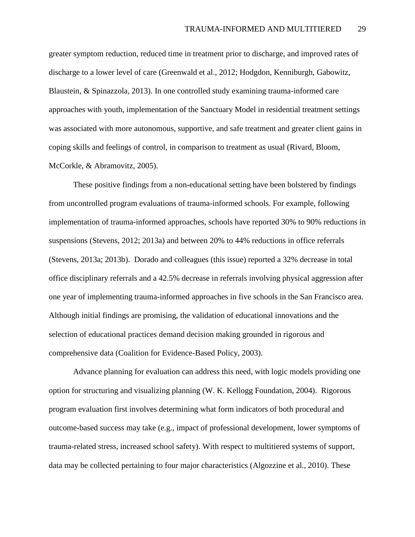greater symptom reduction, reduced time in treatment prior to discharge, and improved rates of discharge to a lower level of care (Greenwald et al., 2012; Hodgdon, Kenniburgh, Gabowitz, Blaustein, & Spinazzola, 2013). In one controlled study examining trauma-informed care approaches with youth, implementation of the Sanctuary Model in residential treatment settings was associated with more autonomous, supportive, and safe treatment and greater client gains in coping skills and feelings of control, in comparison to treatment as usual (Rivard, Bloom, McCorkle, & Abramovitz, 2005).

These positive findings from a non-educational setting have been bolstered by findings from uncontrolled program evaluations of trauma-informed schools. For example, following implementation of trauma-informed approaches, schools have reported 30% to 90% reductions in suspensions (Stevens, 2012; 2013a) and between 20% to 44% reductions in office referrals (Stevens, 2013a; 2013b). Dorado and colleagues (this issue) reported a 32% decrease in total office disciplinary referrals and a 42.5% decrease in referrals involving physical aggression after one year of implementing trauma-informed approaches in five schools in the San Francisco area. Although initial findings are promising, the validation of educational innovations and the selection of educational practices demand decision making grounded in rigorous and comprehensive data (Coalition for Evidence-Based Policy, 2003).

Advance planning for evaluation can address this need, with logic models providing one option for structuring and visualizing planning (W. K. Kellogg Foundation, 2004). Rigorous program evaluation first involves determining what form indicators of both procedural and outcome-based success may take (e.g., impact of professional development, lower symptoms of trauma-related stress, increased school safety). With respect to multitiered systems of support, data may be collected pertaining to four major characteristics (Algozzine et al., 2010). These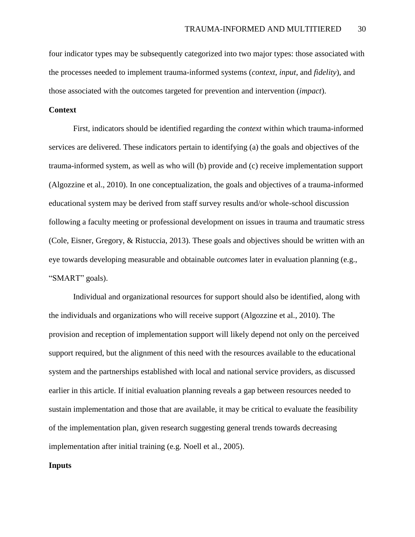four indicator types may be subsequently categorized into two major types: those associated with the processes needed to implement trauma-informed systems (*context*, *input*, and *fidelity*), and those associated with the outcomes targeted for prevention and intervention (*impact*).

# **Context**

First, indicators should be identified regarding the *context* within which trauma-informed services are delivered. These indicators pertain to identifying (a) the goals and objectives of the trauma-informed system, as well as who will (b) provide and (c) receive implementation support (Algozzine et al., 2010). In one conceptualization, the goals and objectives of a trauma-informed educational system may be derived from staff survey results and/or whole-school discussion following a faculty meeting or professional development on issues in trauma and traumatic stress (Cole, Eisner, Gregory, & Ristuccia, 2013). These goals and objectives should be written with an eye towards developing measurable and obtainable *outcomes* later in evaluation planning (e.g., "SMART" goals).

Individual and organizational resources for support should also be identified, along with the individuals and organizations who will receive support (Algozzine et al., 2010). The provision and reception of implementation support will likely depend not only on the perceived support required, but the alignment of this need with the resources available to the educational system and the partnerships established with local and national service providers, as discussed earlier in this article. If initial evaluation planning reveals a gap between resources needed to sustain implementation and those that are available, it may be critical to evaluate the feasibility of the implementation plan, given research suggesting general trends towards decreasing implementation after initial training (e.g. Noell et al., 2005).

# **Inputs**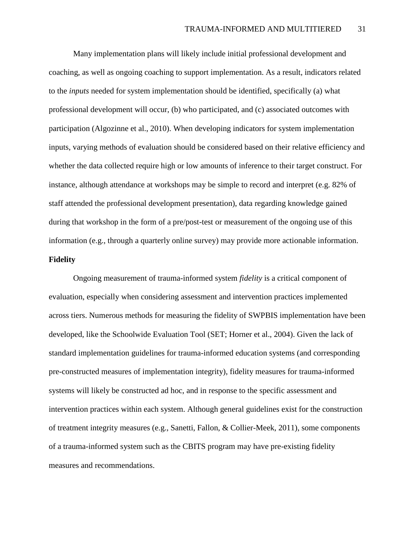Many implementation plans will likely include initial professional development and coaching, as well as ongoing coaching to support implementation. As a result, indicators related to the *inputs* needed for system implementation should be identified, specifically (a) what professional development will occur, (b) who participated, and (c) associated outcomes with participation (Algozinne et al., 2010). When developing indicators for system implementation inputs, varying methods of evaluation should be considered based on their relative efficiency and whether the data collected require high or low amounts of inference to their target construct. For instance, although attendance at workshops may be simple to record and interpret (e.g. 82% of staff attended the professional development presentation), data regarding knowledge gained during that workshop in the form of a pre/post-test or measurement of the ongoing use of this information (e.g., through a quarterly online survey) may provide more actionable information. **Fidelity**

Ongoing measurement of trauma-informed system *fidelity* is a critical component of evaluation, especially when considering assessment and intervention practices implemented across tiers. Numerous methods for measuring the fidelity of SWPBIS implementation have been developed, like the Schoolwide Evaluation Tool (SET; Horner et al., 2004). Given the lack of standard implementation guidelines for trauma-informed education systems (and corresponding pre-constructed measures of implementation integrity), fidelity measures for trauma-informed systems will likely be constructed ad hoc, and in response to the specific assessment and intervention practices within each system. Although general guidelines exist for the construction of treatment integrity measures (e.g., Sanetti, Fallon, & Collier-Meek, 2011), some components of a trauma-informed system such as the CBITS program may have pre-existing fidelity measures and recommendations.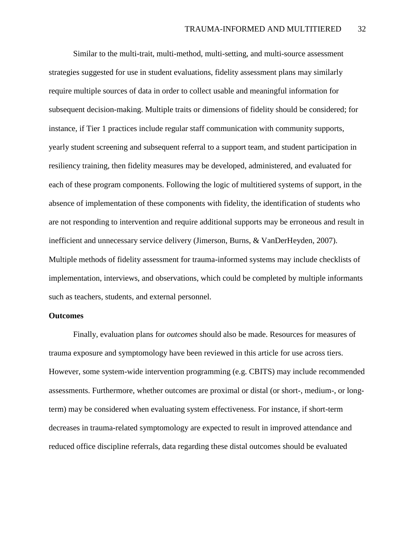Similar to the multi-trait, multi-method, multi-setting, and multi-source assessment strategies suggested for use in student evaluations, fidelity assessment plans may similarly require multiple sources of data in order to collect usable and meaningful information for subsequent decision-making. Multiple traits or dimensions of fidelity should be considered; for instance, if Tier 1 practices include regular staff communication with community supports, yearly student screening and subsequent referral to a support team, and student participation in resiliency training, then fidelity measures may be developed, administered, and evaluated for each of these program components. Following the logic of multitiered systems of support, in the absence of implementation of these components with fidelity, the identification of students who are not responding to intervention and require additional supports may be erroneous and result in inefficient and unnecessary service delivery (Jimerson, Burns, & VanDerHeyden, 2007). Multiple methods of fidelity assessment for trauma-informed systems may include checklists of implementation, interviews, and observations, which could be completed by multiple informants such as teachers, students, and external personnel.

# **Outcomes**

Finally, evaluation plans for *outcomes* should also be made. Resources for measures of trauma exposure and symptomology have been reviewed in this article for use across tiers. However, some system-wide intervention programming (e.g. CBITS) may include recommended assessments. Furthermore, whether outcomes are proximal or distal (or short-, medium-, or longterm) may be considered when evaluating system effectiveness. For instance, if short-term decreases in trauma-related symptomology are expected to result in improved attendance and reduced office discipline referrals, data regarding these distal outcomes should be evaluated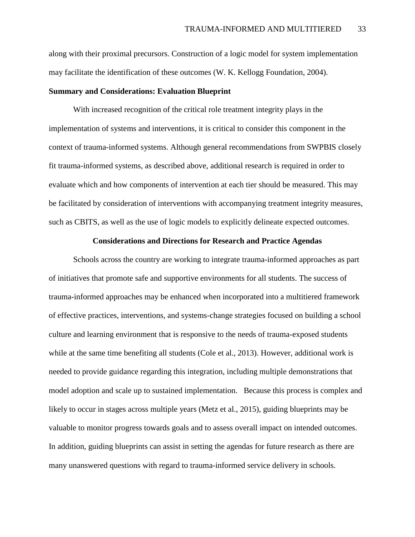along with their proximal precursors. Construction of a logic model for system implementation may facilitate the identification of these outcomes (W. K. Kellogg Foundation, 2004).

# **Summary and Considerations: Evaluation Blueprint**

With increased recognition of the critical role treatment integrity plays in the implementation of systems and interventions, it is critical to consider this component in the context of trauma-informed systems. Although general recommendations from SWPBIS closely fit trauma-informed systems, as described above, additional research is required in order to evaluate which and how components of intervention at each tier should be measured. This may be facilitated by consideration of interventions with accompanying treatment integrity measures, such as CBITS, as well as the use of logic models to explicitly delineate expected outcomes.

# **Considerations and Directions for Research and Practice Agendas**

Schools across the country are working to integrate trauma-informed approaches as part of initiatives that promote safe and supportive environments for all students. The success of trauma-informed approaches may be enhanced when incorporated into a multitiered framework of effective practices, interventions, and systems-change strategies focused on building a school culture and learning environment that is responsive to the needs of trauma-exposed students while at the same time benefiting all students (Cole et al., 2013). However, additional work is needed to provide guidance regarding this integration, including multiple demonstrations that model adoption and scale up to sustained implementation. Because this process is complex and likely to occur in stages across multiple years (Metz et al., 2015), guiding blueprints may be valuable to monitor progress towards goals and to assess overall impact on intended outcomes. In addition, guiding blueprints can assist in setting the agendas for future research as there are many unanswered questions with regard to trauma-informed service delivery in schools.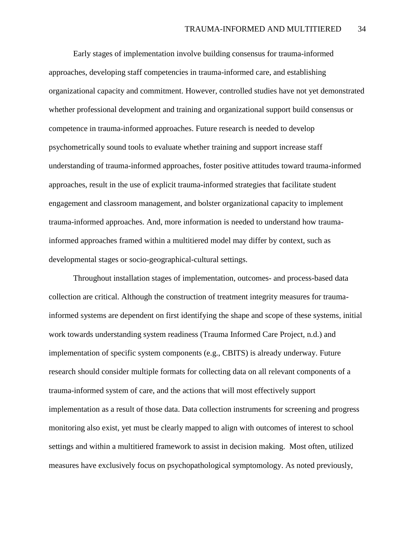Early stages of implementation involve building consensus for trauma-informed approaches, developing staff competencies in trauma-informed care, and establishing organizational capacity and commitment. However, controlled studies have not yet demonstrated whether professional development and training and organizational support build consensus or competence in trauma-informed approaches. Future research is needed to develop psychometrically sound tools to evaluate whether training and support increase staff understanding of trauma-informed approaches, foster positive attitudes toward trauma-informed approaches, result in the use of explicit trauma-informed strategies that facilitate student engagement and classroom management, and bolster organizational capacity to implement trauma-informed approaches. And, more information is needed to understand how traumainformed approaches framed within a multitiered model may differ by context, such as developmental stages or socio-geographical-cultural settings.

Throughout installation stages of implementation, outcomes- and process-based data collection are critical. Although the construction of treatment integrity measures for traumainformed systems are dependent on first identifying the shape and scope of these systems, initial work towards understanding system readiness (Trauma Informed Care Project, n.d.) and implementation of specific system components (e.g., CBITS) is already underway. Future research should consider multiple formats for collecting data on all relevant components of a trauma-informed system of care, and the actions that will most effectively support implementation as a result of those data. Data collection instruments for screening and progress monitoring also exist, yet must be clearly mapped to align with outcomes of interest to school settings and within a multitiered framework to assist in decision making. Most often, utilized measures have exclusively focus on psychopathological symptomology. As noted previously,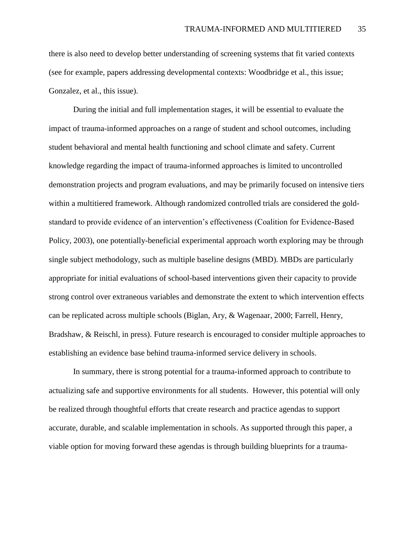there is also need to develop better understanding of screening systems that fit varied contexts (see for example, papers addressing developmental contexts: Woodbridge et al., this issue; Gonzalez, et al., this issue).

During the initial and full implementation stages, it will be essential to evaluate the impact of trauma-informed approaches on a range of student and school outcomes, including student behavioral and mental health functioning and school climate and safety. Current knowledge regarding the impact of trauma-informed approaches is limited to uncontrolled demonstration projects and program evaluations, and may be primarily focused on intensive tiers within a multitiered framework. Although randomized controlled trials are considered the goldstandard to provide evidence of an intervention's effectiveness (Coalition for Evidence-Based Policy, 2003), one potentially-beneficial experimental approach worth exploring may be through single subject methodology, such as multiple baseline designs (MBD). MBDs are particularly appropriate for initial evaluations of school-based interventions given their capacity to provide strong control over extraneous variables and demonstrate the extent to which intervention effects can be replicated across multiple schools (Biglan, Ary, & Wagenaar, 2000; Farrell, Henry, Bradshaw, & Reischl, in press). Future research is encouraged to consider multiple approaches to establishing an evidence base behind trauma-informed service delivery in schools.

In summary, there is strong potential for a trauma-informed approach to contribute to actualizing safe and supportive environments for all students. However, this potential will only be realized through thoughtful efforts that create research and practice agendas to support accurate, durable, and scalable implementation in schools. As supported through this paper, a viable option for moving forward these agendas is through building blueprints for a trauma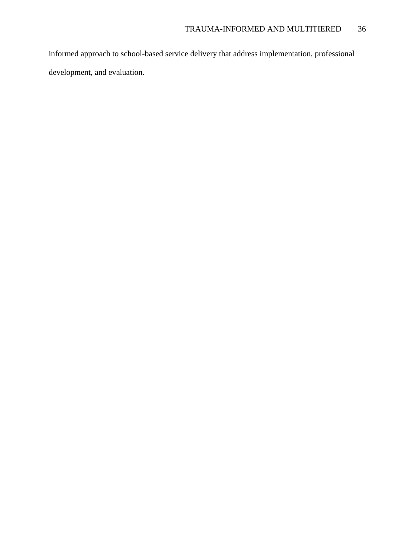informed approach to school-based service delivery that address implementation, professional development, and evaluation.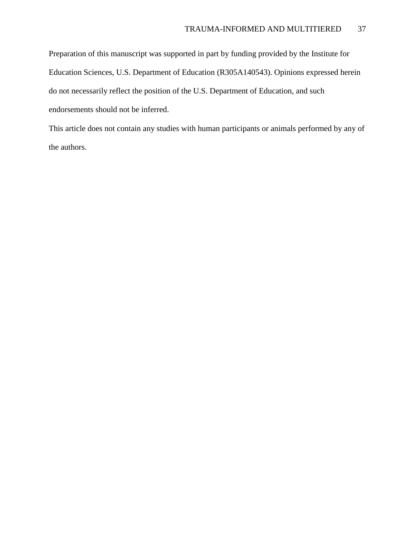Preparation of this manuscript was supported in part by funding provided by the Institute for Education Sciences, U.S. Department of Education (R305A140543). Opinions expressed herein do not necessarily reflect the position of the U.S. Department of Education, and such endorsements should not be inferred.

This article does not contain any studies with human participants or animals performed by any of the authors.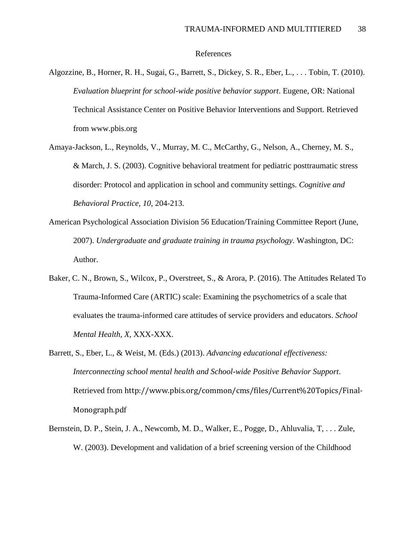# References

- Algozzine, B., Horner, R. H., Sugai, G., Barrett, S., Dickey, S. R., Eber, L., . . . Tobin, T. (2010). *Evaluation blueprint for school-wide positive behavior support*. Eugene, OR: National Technical Assistance Center on Positive Behavior Interventions and Support. Retrieved from www.pbis.org
- Amaya-Jackson, L., Reynolds, V., Murray, M. C., McCarthy, G., Nelson, A., Cherney, M. S., & March, J. S. (2003). Cognitive behavioral treatment for pediatric posttraumatic stress disorder: Protocol and application in school and community settings. *Cognitive and Behavioral Practice, 10*, 204-213.
- American Psychological Association Division 56 Education/Training Committee Report (June, 2007). *Undergraduate and graduate training in trauma psychology*. Washington, DC: Author.
- Baker, C. N., Brown, S., Wilcox, P., Overstreet, S., & Arora, P. (2016). The Attitudes Related To Trauma-Informed Care (ARTIC) scale: Examining the psychometrics of a scale that evaluates the trauma-informed care attitudes of service providers and educators. *School Mental Health*, *X*, XXX-XXX.
- Barrett, S., Eber, L., & Weist, M. (Eds.) (2013). *Advancing educational effectiveness: Interconnecting school mental health and School-wide Positive Behavior Support*. Retrieved from http://www.pbis.org/common/cms/files/Current%20Topics/Final-Monograph.pdf
- Bernstein, D. P., Stein, J. A., Newcomb, M. D., Walker, E., Pogge, D., Ahluvalia, T, . . . Zule, W. (2003). Development and validation of a brief screening version of the Childhood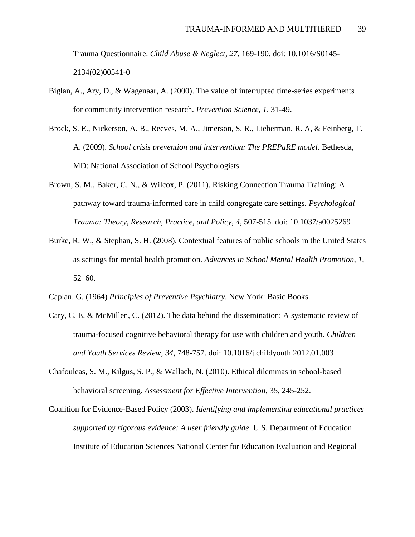Trauma Questionnaire. *Child Abuse & Neglect*, *27*, 169-190. doi: 10.1016/S0145- 2134(02)00541-0

- Biglan, A., Ary, D., & Wagenaar, A. (2000). The value of interrupted time-series experiments for community intervention research. *Prevention Science, 1*, 31-49.
- Brock, S. E., Nickerson, A. B., Reeves, M. A., Jimerson, S. R., Lieberman, R. A, & Feinberg, T. A. (2009). *School crisis prevention and intervention: The PREPaRE model*. Bethesda, MD: National Association of School Psychologists.
- Brown, S. M., Baker, C. N., & Wilcox, P. (2011). Risking Connection Trauma Training: A pathway toward trauma-informed care in child congregate care settings. *Psychological Trauma: Theory, Research, Practice, and Policy*, *4*, 507-515. doi: 10.1037/a0025269
- Burke, R. W., & Stephan, S. H. (2008). Contextual features of public schools in the United States as settings for mental health promotion. *Advances in School Mental Health Promotion*, *1*, 52–60.
- Caplan. G. (1964) *Principles of Preventive Psychiatry*. New York: Basic Books.
- Cary, C. E. & McMillen, C. (2012). The data behind the dissemination: A systematic review of trauma-focused cognitive behavioral therapy for use with children and youth. *Children and Youth Services Review, 34*, 748-757. doi: 10.1016/j.childyouth.2012.01.003
- Chafouleas, S. M., Kilgus, S. P., & Wallach, N. (2010). Ethical dilemmas in school-based behavioral screening. *Assessment for Effective Intervention*, 35, 245-252.
- Coalition for Evidence-Based Policy (2003). *Identifying and implementing educational practices supported by rigorous evidence: A user friendly guide*. U.S. Department of Education Institute of Education Sciences National Center for Education Evaluation and Regional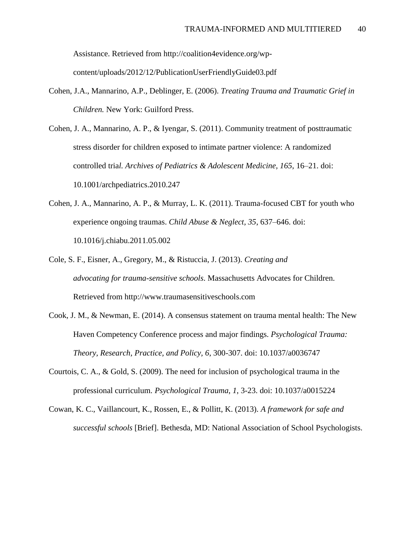Assistance. Retrieved from http://coalition4evidence.org/wpcontent/uploads/2012/12/PublicationUserFriendlyGuide03.pdf

- Cohen, J.A., Mannarino, A.P., Deblinger, E. (2006). *Treating Trauma and Traumatic Grief in Children.* New York: Guilford Press.
- Cohen, J. A., Mannarino, A. P., & Iyengar, S. (2011). Community treatment of posttraumatic stress disorder for children exposed to intimate partner violence: A randomized controlled tria*l. Archives of Pediatrics & Adolescent Medicine, 165*, 16–21. doi: 10.1001/archpediatrics.2010.247
- Cohen, J. A., Mannarino, A. P., & Murray, L. K. (2011). Trauma-focused CBT for youth who experience ongoing traumas. *Child Abuse & Neglect, 35*, 637–646. doi: 10.1016/j.chiabu.2011.05.002
- Cole, S. F., Eisner, A., Gregory, M., & Ristuccia, J. (2013). *Creating and advocating for trauma-sensitive schools*. Massachusetts Advocates for Children. Retrieved from http://www.traumasensitiveschools.com
- Cook, J. M., & Newman, E. (2014). A consensus statement on trauma mental health: The New Haven Competency Conference process and major findings. *Psychological Trauma: Theory, Research, Practice, and Policy, 6*, 300-307. doi: 10.1037/a0036747
- Courtois, C. A., & Gold, S. (2009). The need for inclusion of psychological trauma in the professional curriculum*. Psychological Trauma*, *1*, 3-23. doi: 10.1037/a0015224
- Cowan, K. C., Vaillancourt, K., Rossen, E., & Pollitt, K. (2013). *A framework for safe and successful schools* [Brief]. Bethesda, MD: National Association of School Psychologists.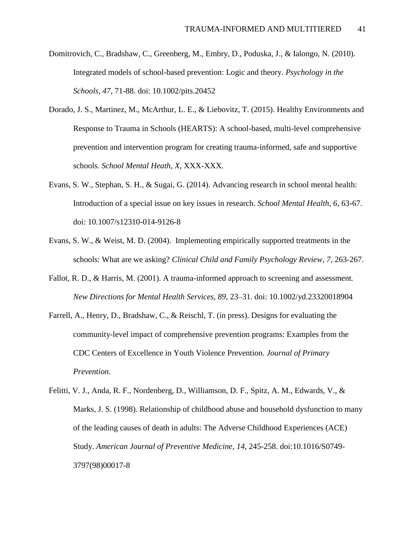- Domitrovich, C., Bradshaw, C., Greenberg, M., Embry, D., Poduska, J., & Ialongo, N. (2010). Integrated models of school-based prevention: Logic and theory. *Psychology in the Schools, 47*, 71-88. doi: 10.1002/pits.20452
- Dorado, J. S., Martinez, M., McArthur, L. E., & Liebovitz, T. (2015). Healthy Environments and Response to Trauma in Schools (HEARTS): A school-based, multi-level comprehensive prevention and intervention program for creating trauma-informed, safe and supportive schools. *School Mental Heath*, *X*, XXX-XXX.
- Evans, S. W., Stephan, S. H., & Sugai, G. (2014). Advancing research in school mental health: Introduction of a special issue on key issues in research. *School Mental Health, 6*, 63-67. doi: 10.1007/s12310-014-9126-8
- Evans, S. W., & Weist, M. D. (2004). Implementing empirically supported treatments in the schools: What are we asking? *Clinical Child and Family Psychology Review, 7*, 263-267.
- Fallot, R. D., & Harris, M. (2001). A trauma-informed approach to screening and assessment*. New Directions for Mental Health Services, 89*, 23–31. doi: 10.1002/yd.23320018904
- Farrell, A., Henry, D., Bradshaw, C., & Reischl, T. (in press). Designs for evaluating the community-level impact of comprehensive prevention programs: Examples from the CDC Centers of Excellence in Youth Violence Prevention. *Journal of Primary Prevention*.
- Felitti, V. J., Anda, R. F., Nordenberg, D., Williamson, D. F., Spitz, A. M., Edwards, V., & Marks, J. S. (1998). Relationship of childhood abuse and household dysfunction to many of the leading causes of death in adults: The Adverse Childhood Experiences (ACE) Study. *American Journal of Preventive Medicine*, *14*, 245-258. doi:10.1016/S0749- 3797(98)00017-8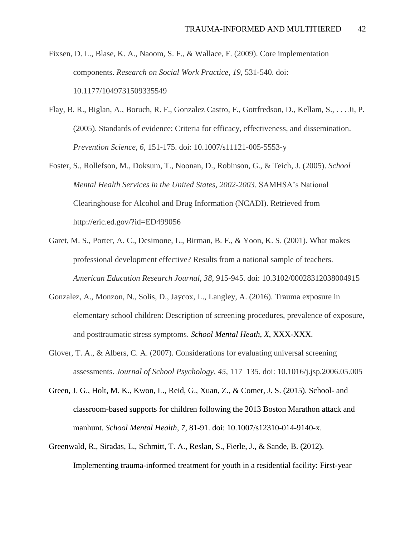Fixsen, D. L., Blase, K. A., Naoom, S. F., & Wallace, F. (2009). Core implementation components. *Research on Social Work Practice*, *19*, 531-540. doi: 10.1177/1049731509335549

- Flay, B. R., Biglan, A., Boruch, R. F., Gonzalez Castro, F., Gottfredson, D., Kellam, S., . . . Ji, P. (2005). Standards of evidence: Criteria for efficacy, effectiveness, and dissemination. *Prevention Science, 6*, 151-175. doi: 10.1007/s11121-005-5553-y
- Foster, S., Rollefson, M., Doksum, T., Noonan, D., Robinson, G., & Teich, J. (2005). *School Mental Health Services in the United States, 2002-2003*. SAMHSA's National Clearinghouse for Alcohol and Drug Information (NCADI). Retrieved from http://eric.ed.gov/?id=ED499056
- Garet, M. S., Porter, A. C., Desimone, L., Birman, B. F., & Yoon, K. S. (2001). What makes professional development effective? Results from a national sample of teachers. *American Education Research Journal, 38*, 915-945. doi: 10.3102/00028312038004915
- Gonzalez, A., Monzon, N., Solis, D., Jaycox, L., Langley, A. (2016). Trauma exposure in elementary school children: Description of screening procedures, prevalence of exposure, and posttraumatic stress symptoms. *School Mental Heath*, *X*, XXX-XXX.
- Glover, T. A., & Albers, C. A. (2007). Considerations for evaluating universal screening assessments. *Journal of School Psychology, 45*, 117–135. doi: 10.1016/j.jsp.2006.05.005
- Green, J. G., Holt, M. K., Kwon, L., Reid, G., Xuan, Z., & Comer, J. S. (2015). School- and classroom-based supports for children following the 2013 Boston Marathon attack and manhunt. *School Mental Health*, *7*, 81-91. doi: 10.1007/s12310-014-9140-x.
- Greenwald, R., Siradas, L., Schmitt, T. A., Reslan, S., Fierle, J., & Sande, B. (2012). Implementing trauma-informed treatment for youth in a residential facility: First-year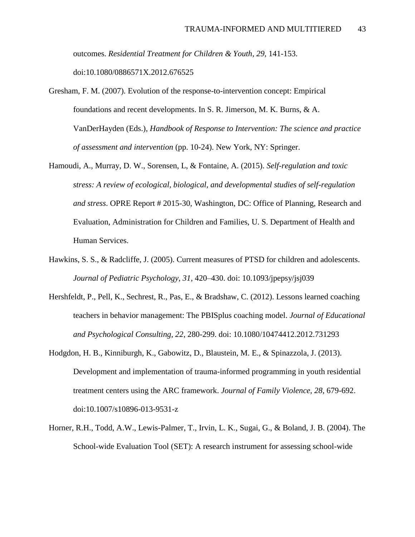outcomes. *Residential Treatment for Children & Youth*, *29*, 141-153. doi:10.1080/0886571X.2012.676525

- Gresham, F. M. (2007). Evolution of the response-to-intervention concept: Empirical foundations and recent developments. In S. R. Jimerson, M. K. Burns, & A. VanDerHayden (Eds.), *Handbook of Response to Intervention: The science and practice of assessment and intervention* (pp. 10-24). New York, NY: Springer.
- Hamoudi, A., Murray, D. W., Sorensen, L, & Fontaine, A. (2015). *Self-regulation and toxic stress: A review of ecological, biological, and developmental studies of self-regulation and stress*. OPRE Report # 2015-30, Washington, DC: Office of Planning, Research and Evaluation, Administration for Children and Families, U. S. Department of Health and Human Services.
- Hawkins, S. S., & Radcliffe, J. (2005). Current measures of PTSD for children and adolescents. *Journal of Pediatric Psychology, 31*, 420–430. doi: 10.1093/jpepsy/jsj039
- Hershfeldt, P., Pell, K., Sechrest, R., Pas, E., & Bradshaw, C. (2012). Lessons learned coaching teachers in behavior management: The PBISplus coaching model. *Journal of Educational and Psychological Consulting, 22*, 280-299. doi: 10.1080/10474412.2012.731293
- Hodgdon, H. B., Kinniburgh, K., Gabowitz, D., Blaustein, M. E., & Spinazzola, J. (2013). Development and implementation of trauma-informed programming in youth residential treatment centers using the ARC framework. *Journal of Family Violence*, *28*, 679-692. doi:10.1007/s10896-013-9531-z
- Horner, R.H., Todd, A.W., Lewis-Palmer, T., Irvin, L. K., Sugai, G., & Boland, J. B. (2004). The School-wide Evaluation Tool (SET): A research instrument for assessing school-wide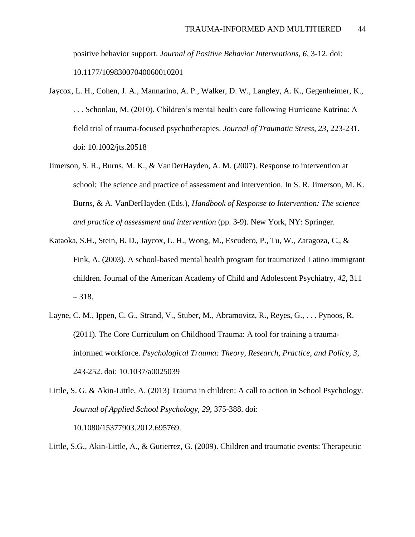positive behavior support. *Journal of Positive Behavior Interventions*, *6*, 3-12. doi: 10.1177/10983007040060010201

- Jaycox, L. H., Cohen, J. A., Mannarino, A. P., Walker, D. W., Langley, A. K., Gegenheimer, K., . . . Schonlau, M. (2010). Children's mental health care following Hurricane Katrina: A field trial of trauma-focused psychotherapies. *Journal of Traumatic Stress, 23*, 223-231. doi: 10.1002/jts.20518
- Jimerson, S. R., Burns, M. K., & VanDerHayden, A. M. (2007). Response to intervention at school: The science and practice of assessment and intervention. In S. R. Jimerson, M. K. Burns, & A. VanDerHayden (Eds.), *Handbook of Response to Intervention: The science and practice of assessment and intervention* (pp. 3-9). New York, NY: Springer.
- Kataoka, S.H., Stein, B. D., Jaycox, L. H., Wong, M., Escudero, P., Tu, W., Zaragoza, C., & Fink, A. (2003). A school-based mental health program for traumatized Latino immigrant children. Journal of the American Academy of Child and Adolescent Psychiatry, *42*, 311 – 318.
- Layne, C. M., Ippen, C. G., Strand, V., Stuber, M., Abramovitz, R., Reyes, G., . . . Pynoos, R. (2011). The Core Curriculum on Childhood Trauma: A tool for training a traumainformed workforce. *Psychological Trauma: Theory, Research, Practice, and Policy, 3*, 243-252. doi: 10.1037/a0025039

Little, S.G., Akin-Little, A., & Gutierrez, G. (2009). Children and traumatic events: Therapeutic

Little, S. G. & Akin-Little, A. (2013) Trauma in children: A call to action in School Psychology. *Journal of Applied School Psychology, 29*, 375-388. doi: 10.1080/15377903.2012.695769.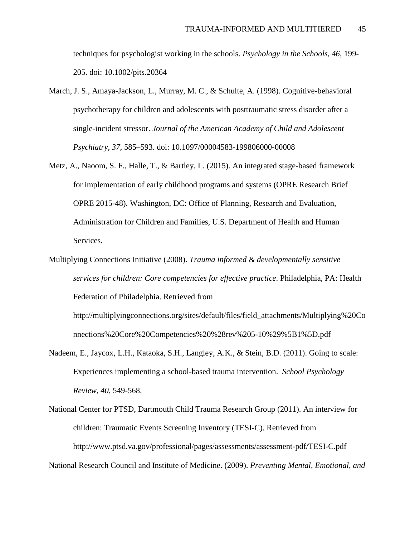techniques for psychologist working in the schools. *Psychology in the Schools, 46*, 199- 205. doi: 10.1002/pits.20364

- March, J. S., Amaya-Jackson, L., Murray, M. C., & Schulte, A. (1998). Cognitive-behavioral psychotherapy for children and adolescents with posttraumatic stress disorder after a single-incident stressor. *Journal of the American Academy of Child and Adolescent Psychiatry, 37*, 585–593. doi: 10.1097/00004583-199806000-00008
- Metz, A., Naoom, S. F., Halle, T., & Bartley, L. (2015). An integrated stage-based framework for implementation of early childhood programs and systems (OPRE Research Brief OPRE 2015-48). Washington, DC: Office of Planning, Research and Evaluation, Administration for Children and Families, U.S. Department of Health and Human Services.
- Multiplying Connections Initiative (2008). *Trauma informed & developmentally sensitive services for children: Core competencies for effective practice*. Philadelphia, PA: Health Federation of Philadelphia. Retrieved from

http://multiplyingconnections.org/sites/default/files/field\_attachments/Multiplying%20Co nnections%20Core%20Competencies%20%28rev%205-10%29%5B1%5D.pdf

- Nadeem, E., Jaycox, L.H., Kataoka, S.H., Langley, A.K., & Stein, B.D. (2011). Going to scale: Experiences implementing a school-based trauma intervention. *School Psychology Review, 40*, 549-568.
- National Center for PTSD, Dartmouth Child Trauma Research Group (2011). An interview for children: Traumatic Events Screening Inventory (TESI-C). Retrieved from http://www.ptsd.va.gov/professional/pages/assessments/assessment-pdf/TESI-C.pdf

National Research Council and Institute of Medicine. (2009). *Preventing Mental, Emotional, and*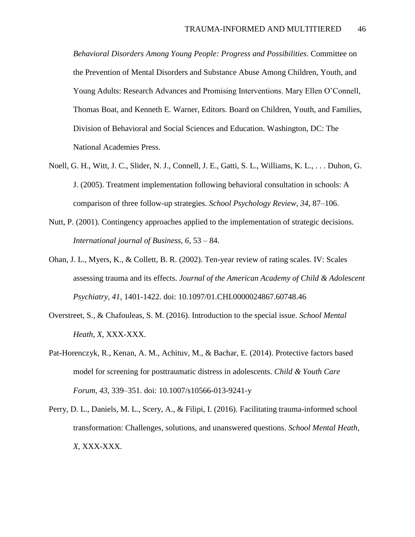*Behavioral Disorders Among Young People: Progress and Possibilities*. Committee on the Prevention of Mental Disorders and Substance Abuse Among Children, Youth, and Young Adults: Research Advances and Promising Interventions. Mary Ellen O'Connell, Thomas Boat, and Kenneth E. Warner, Editors. Board on Children, Youth, and Families, Division of Behavioral and Social Sciences and Education. Washington, DC: The National Academies Press.

- Noell, G. H., Witt, J. C., Slider, N. J., Connell, J. E., Gatti, S. L., Williams, K. L., . . . Duhon, G. J. (2005). Treatment implementation following behavioral consultation in schools: A comparison of three follow-up strategies. *School Psychology Review*, *34*, 87–106.
- Nutt, P. (2001). Contingency approaches applied to the implementation of strategic decisions. *International journal of Business, 6*, 53 – 84.
- Ohan, J. L., Myers, K., & Collett, B. R. (2002). Ten-year review of rating scales. IV: Scales assessing trauma and its effects. *Journal of the American Academy of Child & Adolescent Psychiatry, 41*, 1401-1422. doi: 10.1097/01.CHI.0000024867.60748.46
- Overstreet, S., & Chafouleas, S. M. (2016). Introduction to the special issue. *School Mental Heath*, *X*, XXX-XXX.
- Pat-Horenczyk, R., Kenan, A. M., Achituv, M., & Bachar, E. (2014). Protective factors based model for screening for posttraumatic distress in adolescents. *Child & Youth Care Forum, 43*, 339–351. doi: 10.1007/s10566-013-9241-y
- Perry, D. L., Daniels, M. L., Scery, A., & Filipi, I. (2016). Facilitating trauma-informed school transformation: Challenges, solutions, and unanswered questions. *School Mental Heath*, *X*, XXX-XXX.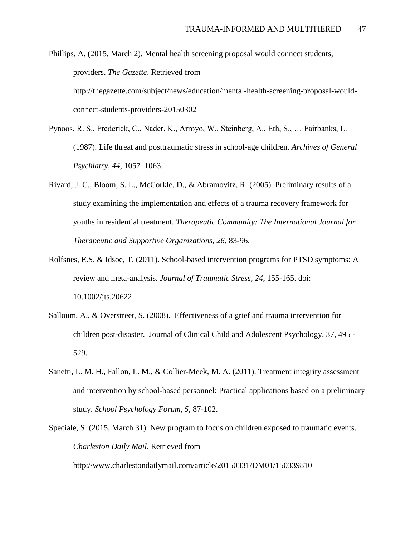Phillips, A. (2015, March 2). Mental health screening proposal would connect students, providers. *The Gazette*. Retrieved from http://thegazette.com/subject/news/education/mental-health-screening-proposal-wouldconnect-students-providers-20150302

- Pynoos, R. S., Frederick, C., Nader, K., Arroyo, W., Steinberg, A., Eth, S., … Fairbanks, L. (1987). Life threat and posttraumatic stress in school-age children. *Archives of General Psychiatry, 44*, 1057–1063.
- Rivard, J. C., Bloom, S. L., McCorkle, D., & Abramovitz, R. (2005). Preliminary results of a study examining the implementation and effects of a trauma recovery framework for youths in residential treatment. *Therapeutic Community: The International Journal for Therapeutic and Supportive Organizations, 26*, 83-96.
- Rolfsnes, E.S. & Idsoe, T. (2011). School-based intervention programs for PTSD symptoms: A review and meta-analysis. *Journal of Traumatic Stress, 24*, 155-165. doi: 10.1002/jts.20622
- Salloum, A., & Overstreet, S. (2008). Effectiveness of a grief and trauma intervention for children post-disaster. Journal of Clinical Child and Adolescent Psychology, 37, 495 - 529.
- Sanetti, L. M. H., Fallon, L. M., & Collier-Meek, M. A. (2011). Treatment integrity assessment and intervention by school-based personnel: Practical applications based on a preliminary study. *School Psychology Forum*, *5*, 87-102.
- Speciale, S. (2015, March 31). New program to focus on children exposed to traumatic events. *Charleston Daily Mail*. Retrieved from

http://www.charlestondailymail.com/article/20150331/DM01/150339810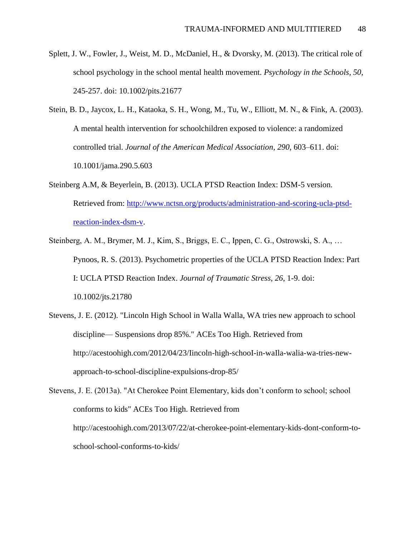- Splett, J. W., Fowler, J., Weist, M. D., McDaniel, H., & Dvorsky, M. (2013). The critical role of school psychology in the school mental health movement. *Psychology in the Schools, 50*, 245-257. doi: 10.1002/pits.21677
- Stein, B. D., Jaycox, L. H., Kataoka, S. H., Wong, M., Tu, W., Elliott, M. N., & Fink, A. (2003). A mental health intervention for schoolchildren exposed to violence: a randomized controlled trial. *Journal of the American Medical Association, 290*, 603–611. doi: 10.1001/jama.290.5.603
- Steinberg A.M, & Beyerlein, B. (2013). UCLA PTSD Reaction Index: DSM-5 version. Retrieved from: [http://www.nctsn.org/products/administration-and-scoring-ucla-ptsd](http://www.nctsn.org/products/administration-and-scoring-ucla-ptsd-reaction-index-dsm-v)[reaction-index-dsm-v.](http://www.nctsn.org/products/administration-and-scoring-ucla-ptsd-reaction-index-dsm-v)
- Steinberg, A. M., Brymer, M. J., Kim, S., Briggs, E. C., Ippen, C. G., Ostrowski, S. A., … Pynoos, R. S. (2013). Psychometric properties of the UCLA PTSD Reaction Index: Part I: UCLA PTSD Reaction Index. *Journal of Traumatic Stress, 26*, 1-9. doi: 10.1002/jts.21780
- Stevens, J. E. (2012). "Lincoln High School in Walla Walla, WA tries new approach to school discipline— Suspensions drop 85%." ACEs Too High. Retrieved from http://acestoohigh.com/2012/04/23/Iincoln-high-schooI-in-waIla-walia-wa-tries-newapproach-to-school-discipline-expulsions-drop-85/

Stevens, J. E. (2013a). "At Cherokee Point Elementary, kids don't conform to school; school conforms to kids" ACEs Too High. Retrieved from http://acestoohigh.com/2013/07/22/at-cherokee-point-elementary-kids-dont-conform-toschool-school-conforms-to-kids/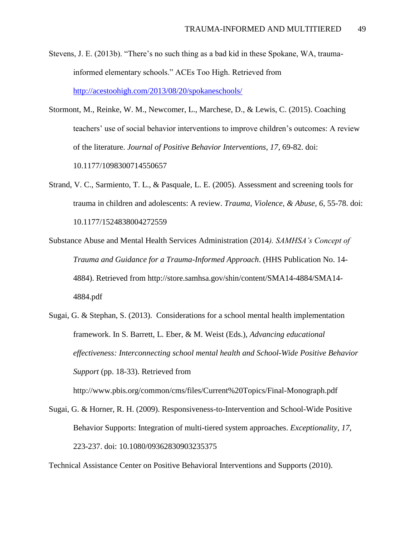- Stevens, J. E. (2013b). "There's no such thing as a bad kid in these Spokane, WA, traumainformed elementary schools." ACEs Too High. Retrieved from <http://acestoohigh.com/2013/08/20/spokaneschools/>
- Stormont, M., Reinke, W. M., Newcomer, L., Marchese, D., & Lewis, C. (2015). Coaching teachers' use of social behavior interventions to improve children's outcomes: A review of the literature. *Journal of Positive Behavior Interventions, 17*, 69-82. doi: 10.1177/1098300714550657
- Strand, V. C., Sarmiento, T. L., & Pasquale, L. E. (2005). Assessment and screening tools for trauma in children and adolescents: A review. *Trauma, Violence, & Abuse, 6*, 55-78. doi: 10.1177/1524838004272559
- Substance Abuse and Mental Health Services Administration (2014*). SAMHSA's Concept of Trauma and Guidance for a Trauma-Informed Approach*. (HHS Publication No. 14- 4884). Retrieved from http://store.samhsa.gov/shin/content/SMA14-4884/SMA14- 4884.pdf
- Sugai, G. & Stephan, S. (2013). Considerations for a school mental health implementation framework. In S. Barrett, L. Eber, & M. Weist (Eds.), *Advancing educational effectiveness: Interconnecting school mental health and School-Wide Positive Behavior Support* (pp. 18-33). Retrieved from

http://www.pbis.org/common/cms/files/Current%20Topics/Final-Monograph.pdf

Sugai, G. & Horner, R. H. (2009). Responsiveness-to-Intervention and School-Wide Positive Behavior Supports: Integration of multi-tiered system approaches. *Exceptionality*, *17*, 223-237. doi: 10.1080/09362830903235375

Technical Assistance Center on Positive Behavioral Interventions and Supports (2010).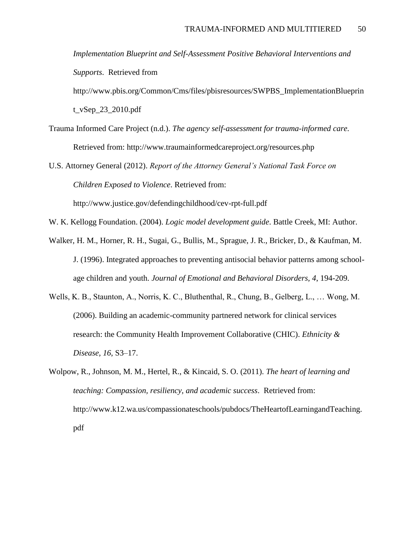*Implementation Blueprint and Self-Assessment Positive Behavioral Interventions and Supports*. Retrieved from http://www.pbis.org/Common/Cms/files/pbisresources/SWPBS\_ImplementationBlueprin t\_vSep\_23\_2010.pdf

Trauma Informed Care Project (n.d.). *The agency self-assessment for trauma-informed care.* Retrieved from: http://www.traumainformedcareproject.org/resources.php

U.S. Attorney General (2012). *Report of the Attorney General's National Task Force on Children Exposed to Violence*. Retrieved from: http://www.justice.gov/defendingchildhood/cev-rpt-full.pdf

W. K. Kellogg Foundation. (2004). *Logic model development guide*. Battle Creek, MI: Author.

- Walker, H. M., Horner, R. H., Sugai, G., Bullis, M., Sprague, J. R., Bricker, D., & Kaufman, M. J. (1996). Integrated approaches to preventing antisocial behavior patterns among schoolage children and youth. *Journal of Emotional and Behavioral Disorders, 4*, 194-209.
- Wells, K. B., Staunton, A., Norris, K. C., Bluthenthal, R., Chung, B., Gelberg, L., … Wong, M. (2006). Building an academic-community partnered network for clinical services research: the Community Health Improvement Collaborative (CHIC). *Ethnicity & Disease, 16*, S3–17.
- Wolpow, R., Johnson, M. M., Hertel, R., & Kincaid, S. O. (2011). *The heart of learning and teaching: Compassion, resiliency, and academic success*. Retrieved from: http://www.k12.wa.us/compassionateschools/pubdocs/TheHeartofLearningandTeaching. pdf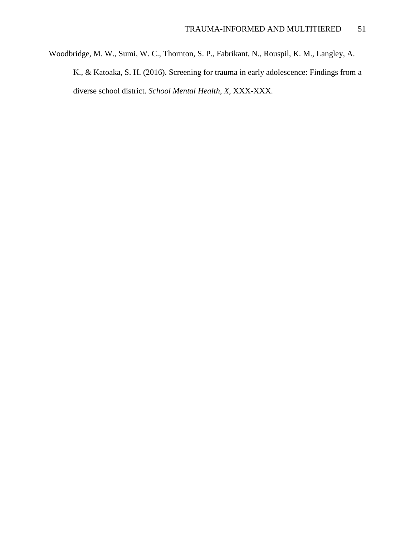Woodbridge, M. W., Sumi, W. C., Thornton, S. P., Fabrikant, N., Rouspil, K. M., Langley, A. K., & Katoaka, S. H. (2016). Screening for trauma in early adolescence: Findings from a diverse school district. *School Mental Health*, *X*, XXX-XXX.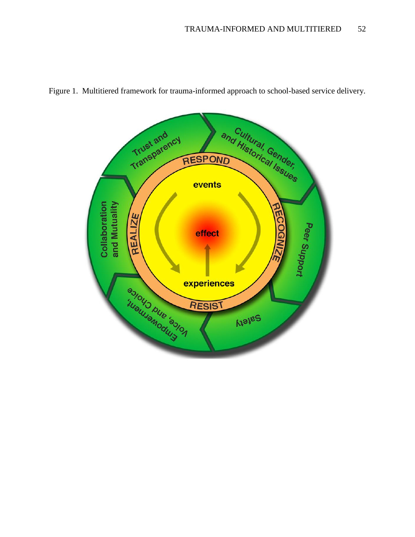

Figure 1. Multitiered framework for trauma-informed approach to school-based service delivery.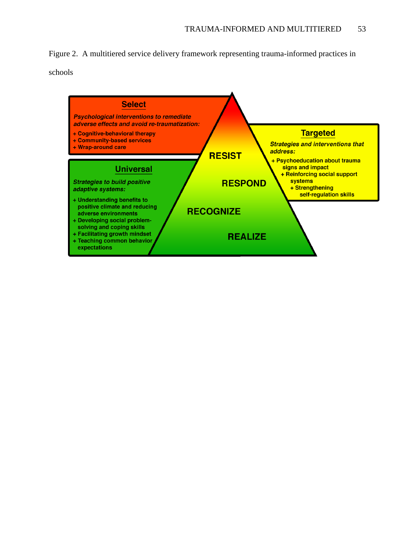Figure 2. A multitiered service delivery framework representing trauma-informed practices in

schools

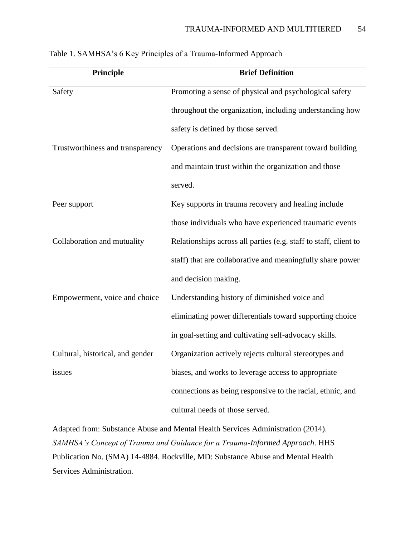| Principle                        | <b>Brief Definition</b>                                          |
|----------------------------------|------------------------------------------------------------------|
| Safety                           | Promoting a sense of physical and psychological safety           |
|                                  | throughout the organization, including understanding how         |
|                                  | safety is defined by those served.                               |
| Trustworthiness and transparency | Operations and decisions are transparent toward building         |
|                                  | and maintain trust within the organization and those             |
|                                  | served.                                                          |
| Peer support                     | Key supports in trauma recovery and healing include              |
|                                  | those individuals who have experienced traumatic events          |
| Collaboration and mutuality      | Relationships across all parties (e.g. staff to staff, client to |
|                                  | staff) that are collaborative and meaningfully share power       |
|                                  | and decision making.                                             |
| Empowerment, voice and choice    | Understanding history of diminished voice and                    |
|                                  | eliminating power differentials toward supporting choice         |
|                                  | in goal-setting and cultivating self-advocacy skills.            |
| Cultural, historical, and gender | Organization actively rejects cultural stereotypes and           |
| issues                           | biases, and works to leverage access to appropriate              |
|                                  | connections as being responsive to the racial, ethnic, and       |
|                                  | cultural needs of those served.                                  |

Adapted from: Substance Abuse and Mental Health Services Administration (2014). *SAMHSA's Concept of Trauma and Guidance for a Trauma-Informed Approach*. HHS Publication No. (SMA) 14-4884. Rockville, MD: Substance Abuse and Mental Health Services Administration.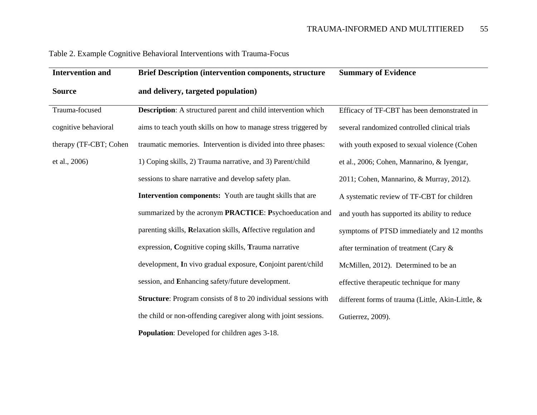| <b>Intervention and</b> | <b>Brief Description (intervention components, structure</b>           | <b>Summary of Evidence</b>                        |
|-------------------------|------------------------------------------------------------------------|---------------------------------------------------|
| <b>Source</b>           | and delivery, targeted population)                                     |                                                   |
| Trauma-focused          | <b>Description:</b> A structured parent and child intervention which   | Efficacy of TF-CBT has been demonstrated in       |
| cognitive behavioral    | aims to teach youth skills on how to manage stress triggered by        | several randomized controlled clinical trials     |
| therapy (TF-CBT; Cohen  | traumatic memories. Intervention is divided into three phases:         | with youth exposed to sexual violence (Cohen      |
| et al., 2006)           | 1) Coping skills, 2) Trauma narrative, and 3) Parent/child             | et al., 2006; Cohen, Mannarino, & Iyengar,        |
|                         | sessions to share narrative and develop safety plan.                   | 2011; Cohen, Mannarino, & Murray, 2012).          |
|                         | <b>Intervention components:</b> Youth are taught skills that are       | A systematic review of TF-CBT for children        |
|                         | summarized by the acronym PRACTICE: Psychoeducation and                | and youth has supported its ability to reduce     |
|                         | parenting skills, Relaxation skills, Affective regulation and          | symptoms of PTSD immediately and 12 months        |
|                         | expression, Cognitive coping skills, Trauma narrative                  | after termination of treatment (Cary &            |
|                         | development, In vivo gradual exposure, Conjoint parent/child           | McMillen, 2012). Determined to be an              |
|                         | session, and Enhancing safety/future development.                      | effective therapeutic technique for many          |
|                         | <b>Structure:</b> Program consists of 8 to 20 individual sessions with | different forms of trauma (Little, Akin-Little, & |
|                         | the child or non-offending caregiver along with joint sessions.        | Gutierrez, 2009).                                 |
|                         | <b>Population:</b> Developed for children ages 3-18.                   |                                                   |

# Table 2. Example Cognitive Behavioral Interventions with Trauma-Focus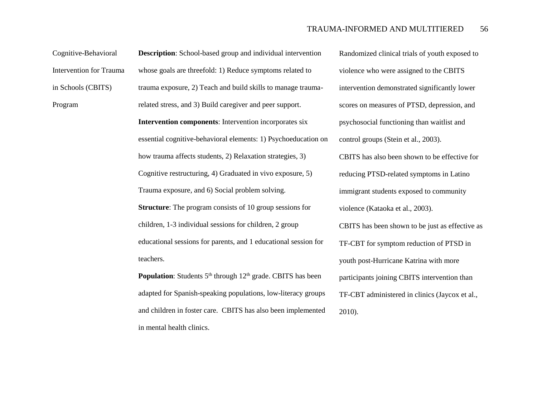Cognitive-Behavioral Intervention for Trauma in Schools (CBITS)

Program

**Description**: School-based group and individual intervention whose goals are threefold: 1) Reduce symptoms related to trauma exposure, 2) Teach and build skills to manage traumarelated stress, and 3) Build caregiver and peer support. **Intervention components**: Intervention incorporates six essential cognitive-behavioral elements: 1) Psychoeducation on how trauma affects students, 2) Relaxation strategies, 3) Cognitive restructuring, 4) Graduated in vivo exposure, 5) Trauma exposure, and 6) Social problem solving. **Structure**: The program consists of 10 group sessions for children, 1-3 individual sessions for children, 2 group educational sessions for parents, and 1 educational session for teachers.

**Population**: Students 5<sup>th</sup> through 12<sup>th</sup> grade. CBITS has been adapted for Spanish-speaking populations, low-literacy groups and children in foster care. CBITS has also been implemented in mental health clinics.

 Randomized clinical trials of youth exposed to violence who were assigned to the CBITS intervention demonstrated significantly lower scores on measures of PTSD, depression, and psychosocial functioning than waitlist and control groups (Stein et al., 2003). CBITS has also been shown to be effective for reducing PTSD-related symptoms in Latino immigrant students exposed to community violence (Kataoka et al., 2003). CBITS has been shown to be just as effective as TF-CBT for symptom reduction of PTSD in youth post-Hurricane Katrina with more participants joining CBITS intervention than TF-CBT administered in clinics (Jaycox et al., 2010).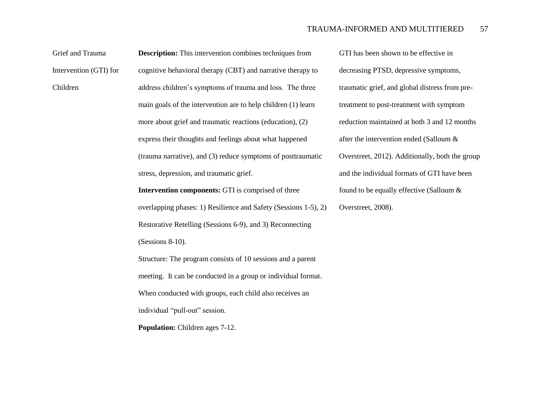| Grief and Trauma       | <b>Description:</b> This intervention combines techniques from  | GTI has been show   |
|------------------------|-----------------------------------------------------------------|---------------------|
| Intervention (GTI) for | cognitive behavioral therapy (CBT) and narrative therapy to     | decreasing PTSD,    |
| Children               | address children's symptoms of trauma and loss. The three       | traumatic grief, an |
|                        | main goals of the intervention are to help children (1) learn   | treatment to post-t |
|                        | more about grief and traumatic reactions (education), (2)       | reduction maintain  |
|                        | express their thoughts and feelings about what happened         | after the intervent |
|                        | (trauma narrative), and (3) reduce symptoms of posttraumatic    | Overstreet, 2012).  |
|                        | stress, depression, and traumatic grief.                        | and the individual  |
|                        | <b>Intervention components:</b> GTI is comprised of three       | found to be equall  |
|                        | overlapping phases: 1) Resilience and Safety (Sessions 1-5), 2) | Overstreet, 2008).  |
|                        | Restorative Retelling (Sessions 6-9), and 3) Reconnecting       |                     |
|                        | (Sessions 8-10).                                                |                     |
|                        | Structure: The program consists of 10 sessions and a parent     |                     |
|                        | meeting. It can be conducted in a group or individual format.   |                     |
|                        | When conducted with groups, each child also receives an         |                     |
|                        | individual "pull-out" session.                                  |                     |
|                        |                                                                 |                     |

**Population:** Children ages 7-12.

wn to be effective in depressive symptoms, nd global distress from pretreatment with symptom ined at both 3 and 12 months tion ended (Salloum & Additionally, both the group I formats of GTI have been ly effective (Salloum  $&$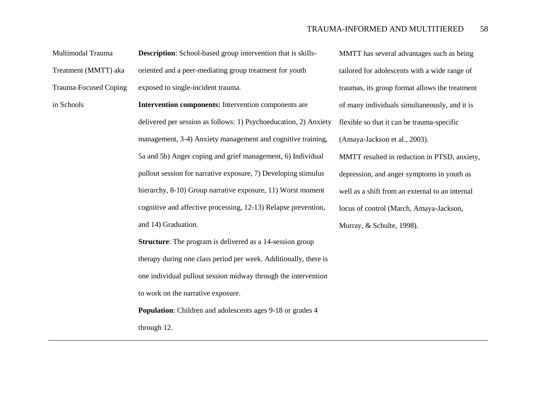Multimodal Trauma

Treatment (MMTT) aka

Trauma-Focused Coping

in Schools

**Description**: School-based group intervention that is skillsoriented and a peer-mediating group treatment for youth exposed to single-incident trauma.

**Intervention components:** Intervention components are delivered per session as follows: 1) Psychoeducation, 2) Anxiety management, 3-4) Anxiety management and cognitive training, 5a and 5b) Anger coping and grief management, 6) Individual pullout session for narrative exposure, 7) Developing stimulus hierarchy, 8-10) Group narrative exposure, 11) Worst moment cognitive and affective processing, 12-13) Relapse prevention, and 14) Graduation.

**Structure**: The program is delivered as a 14-session group therapy during one class period per week. Additionally, there is one individual pullout session midway through the intervention to work on the narrative exposure.

**Population**: Children and adolescents ages 9-18 or grades 4

through 12.

 MMTT has several advantages such as being tailored for adolescents with a wide range of traumas, its group format allows the treatment of many individuals simultaneously, and it is flexible so that it can be trauma-specific (Amaya-Jackson et al., 2003).

 MMTT resulted in reduction in PTSD, anxiety, depression, and anger symptoms in youth as well as a shift from an external to an internal locus of control (March, Amaya-Jackson, Murray, & Schulte, 1998).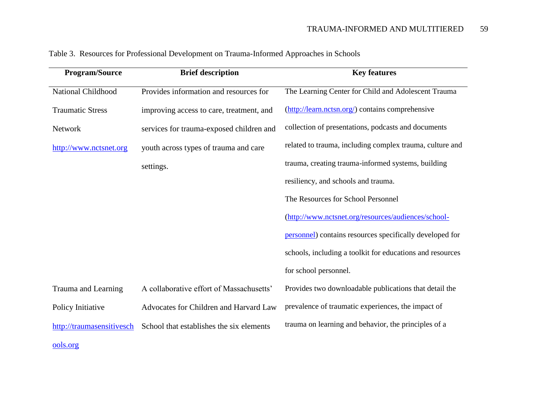| <b>Program/Source</b>     | <b>Brief description</b>                 | <b>Key features</b>                                       |
|---------------------------|------------------------------------------|-----------------------------------------------------------|
| National Childhood        | Provides information and resources for   | The Learning Center for Child and Adolescent Trauma       |
| <b>Traumatic Stress</b>   | improving access to care, treatment, and | (http://learn.nctsn.org/) contains comprehensive          |
| Network                   | services for trauma-exposed children and | collection of presentations, podcasts and documents       |
| http://www.nctsnet.org    | youth across types of trauma and care    | related to trauma, including complex trauma, culture and  |
|                           | settings.                                | trauma, creating trauma-informed systems, building        |
|                           |                                          | resiliency, and schools and trauma.                       |
|                           |                                          | The Resources for School Personnel                        |
|                           |                                          | (http://www.nctsnet.org/resources/audiences/school-       |
|                           |                                          | personnel) contains resources specifically developed for  |
|                           |                                          | schools, including a toolkit for educations and resources |
|                           |                                          | for school personnel.                                     |
| Trauma and Learning       | A collaborative effort of Massachusetts' | Provides two downloadable publications that detail the    |
| Policy Initiative         | Advocates for Children and Harvard Law   | prevalence of traumatic experiences, the impact of        |
| http://traumasensitivesch | School that establishes the six elements | trauma on learning and behavior, the principles of a      |
| ools.org                  |                                          |                                                           |

Table 3. Resources for Professional Development on Trauma-Informed Approaches in Schools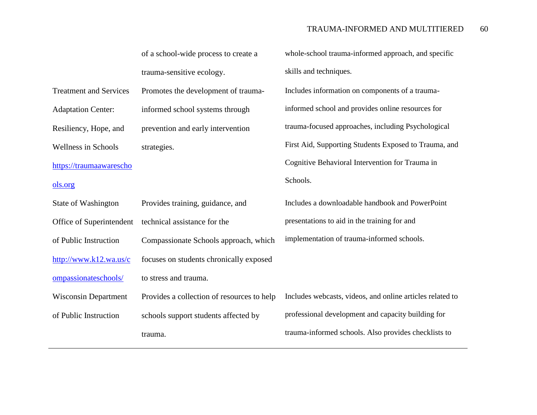|                               | of a school-wide process to create a       | whole-school trauma-informed approach, and specific       |
|-------------------------------|--------------------------------------------|-----------------------------------------------------------|
|                               | trauma-sensitive ecology.                  | skills and techniques.                                    |
| <b>Treatment and Services</b> | Promotes the development of trauma-        | Includes information on components of a trauma-           |
| <b>Adaptation Center:</b>     | informed school systems through            | informed school and provides online resources for         |
| Resiliency, Hope, and         | prevention and early intervention          | trauma-focused approaches, including Psychological        |
| <b>Wellness in Schools</b>    | strategies.                                | First Aid, Supporting Students Exposed to Trauma, and     |
| https://traumaawarescho       |                                            | Cognitive Behavioral Intervention for Trauma in           |
| ols.org                       |                                            | Schools.                                                  |
| State of Washington           | Provides training, guidance, and           | Includes a downloadable handbook and PowerPoint           |
| Office of Superintendent      | technical assistance for the               | presentations to aid in the training for and              |
| of Public Instruction         | Compassionate Schools approach, which      | implementation of trauma-informed schools.                |
| http://www.k12.wa.us/c        | focuses on students chronically exposed    |                                                           |
| ompassionateschools/          | to stress and trauma.                      |                                                           |
| <b>Wisconsin Department</b>   | Provides a collection of resources to help | Includes webcasts, videos, and online articles related to |
| of Public Instruction         | schools support students affected by       | professional development and capacity building for        |
|                               | trauma.                                    | trauma-informed schools. Also provides checklists to      |
|                               |                                            |                                                           |